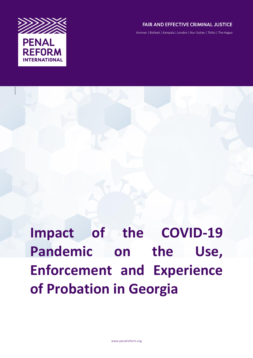

## FAIR AND EFFECTIVE CRIMINAL JUSTICE

Amman | Bishkek | Kampala | London | Nur-Sultan | Tbilisi | The Hague

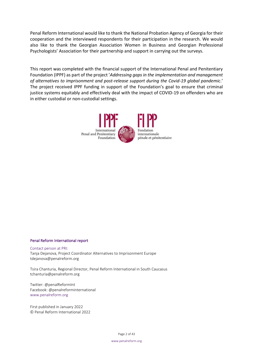Penal Reform International would like to thank the National Probation Agency of Georgia for their cooperation and the interviewed respondents for their participation in the research. We would also like to thank the Georgian Association Women in Business and Georgian Professional Psychologists' Association for their partnership and support in carrying out the surveys.

This report was completed with the financial support of the International Penal and Penitentiary Foundation (IPPF) as part of the project '*Addressing gaps in the implementation and management of alternatives to imprisonment and post-release support during the Covid-19 global pandemic*.' The project received IPPF funding in support of the Foundation's goal to ensure that criminal justice systems equitably and effectively deal with the impact of COVID-19 on offenders who are in either custodial or non-custodial settings.



#### Penal Reform International report

Contact person at PRI: Tanja Dejanova, Project Coordinator Alternatives to Imprisonment Europe tdejanova@penalreform.org

Tsira Chanturia, Regional Director, Penal Reform International in South Caucasus tchanturia@penalreform.org

Twitter: @penalReformInt Facebook: @penalreforminternational www.penalreform.org

First published in January 2022 © Penal Reform International 2022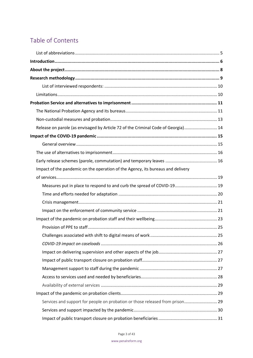# Table of Contents

| Release on parole (as envisaged by Article 72 of the Criminal Code of Georgia) 14 |  |
|-----------------------------------------------------------------------------------|--|
|                                                                                   |  |
|                                                                                   |  |
|                                                                                   |  |
|                                                                                   |  |
| Impact of the pandemic on the operation of the Agency, its bureaus and delivery   |  |
|                                                                                   |  |
| Measures put in place to respond to and curb the spread of COVID-19 19            |  |
|                                                                                   |  |
|                                                                                   |  |
|                                                                                   |  |
|                                                                                   |  |
|                                                                                   |  |
|                                                                                   |  |
|                                                                                   |  |
|                                                                                   |  |
|                                                                                   |  |
|                                                                                   |  |
|                                                                                   |  |
|                                                                                   |  |
|                                                                                   |  |
| Services and support for people on probation or those released from prison 29     |  |
|                                                                                   |  |
|                                                                                   |  |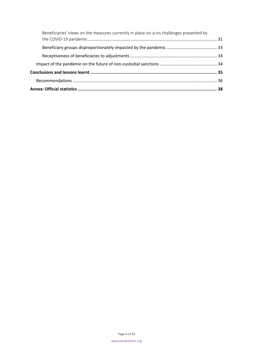| Beneficiaries' views on the measures currently in place vis-a-vis challenges presented by |  |
|-------------------------------------------------------------------------------------------|--|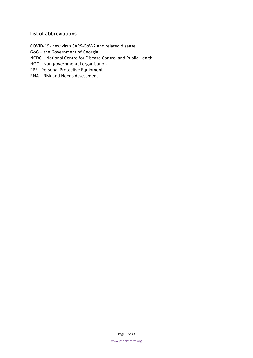## <span id="page-4-0"></span>**List of abbreviations**

COVID-19- new virus SARS-CoV-2 and related disease GoG – the Government of Georgia NCDC – National Centre for Disease Control and Public Health NGO - Non-governmental organisation PPE - Personal Protective Equipment RNA – Risk and Needs Assessment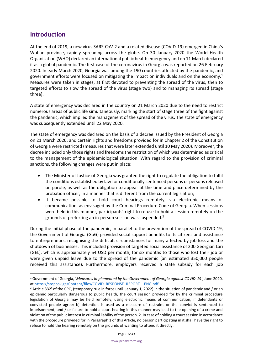## <span id="page-5-0"></span>**Introduction**

At the end of 2019, a new virus SARS-CoV-2 and a related disease (COVID-19) emerged in China's Wuhan province, rapidly spreading across the globe. On 30 January 2020 the World Health Organisation (WHO) declared an international public health emergency and on 11 March declared it as a global pandemic. The first case of the coronavirus in Georgia was reported on 26 February 2020. In early March 2020, Georgia was among the 190 countries affected by the pandemic, and government efforts were focused on mitigating the impact on individuals and on the economy.<sup>1</sup> Measures were taken in stages, at first devoted to preventing the spread of the virus, then to targeted efforts to slow the spread of the virus (stage two) and to managing its spread (stage three).

A state of emergency was declared in the country on 21 March 2020 due to the need to restrict numerous areas of public life simultaneously, marking the start of stage three of the fight against the pandemic, which implied the management of the spread of the virus. The state of emergency was subsequently extended until 22 May 2020.

The state of emergency was declared on the basis of a decree issued by the President of Georgia on 21 March 2020, and certain rights and freedoms provided for in Chapter 2 of the Constitution of Georgia were restricted (measures that were later extended until 10 May 2020). Moreover, the decree included only those rights and freedoms the restriction of which was determined as critical to the management of the epidemiological situation. With regard to the provision of criminal sanctions, the following changes were put in place:

- The Minister of Justice of Georgia was granted the right to regulate the obligation to fulfil the conditions established by law for conditionally sentenced persons or persons released on parole, as well as the obligation to appear at the time and place determined by the probation officer, in a manner that is different from the current legislation;
- It became possible to hold court hearings remotely, via electronic means of communication, as envisaged by the Criminal Procedure Code of Georgia. When sessions were held in this manner, participants' right to refuse to hold a session remotely on the grounds of preferring an in-person session was suspended. $2^2$

During the initial phase of the pandemic, in parallel to the prevention of the spread of COVID-19, the Government of Georgia (GoG) provided social support benefits to its citizens and assistance to entrepreneurs, recognising the difficult circumstances for many affected by job loss and the shutdown of businesses. This included provision of targeted social assistance of 200 Georgian Lari (GEL), which is approximately 64 USD per month, for six months to those who lost their job or were given unpaid leave due to the spread of the pandemic (an estimated 350,000 people received this assistance). Furthermore, employers received a state subsidy for each job

<sup>1</sup> Government of Georgia, '*Measures Implemented by the Government of Georgia against COVID-19'*, June 2020, at https://stopcov.ge/Content/files/COVID\_RESPONSE\_REPORT\_ENG.pdf.

<sup>&</sup>lt;sup>2</sup> Article 332<sup>5</sup> of the CPC, (temporary rule in force until January 1, 2022) In the situation of pandemic and / or an epidemic particularly dangerous to public health, the court session provided for by the criminal procedure legislation of Georgia may be held remotely, using electronic means of communication, if defendants or convicted people agree; b) detention is used as a measure of restraint or the convict is sentenced to imprisonment, and / or failure to hold a court hearing in this manner may lead to the opening of a crime and violation of the public interest in criminal liability of the person. 2. In case of holding a court session in accordance with the procedure provided for in Paragraph 1 of this Article, no person participating in it shall have the right to refuse to hold the hearing remotely on the grounds of wanting to attend it directly.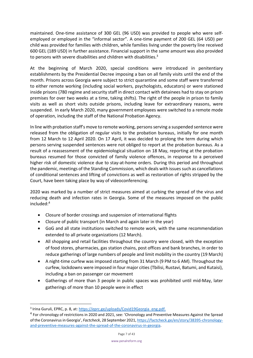maintained. One-time assistance of 300 GEL (96 USD) was provided to people who were selfemployed or employed in the "informal sector". A one-time payment of 200 GEL (64 USD) per child was provided for families with children, while families living under the poverty line received 600 GEL (189 USD) in further assistance. Financial support in the same amount was also provided to persons with severe disabilities and children with disabilities.<sup>3</sup>

At the beginning of March 2020, special conditions were introduced in penitentiary establishments by the Presidential Decree imposing a ban on all family visits until the end of the month. Prisons across Georgia were subject to strict quarantine and some staff were transferred to either remote working (including social workers, psychologists, educators) or were stationed inside prisons (780 regime and security staff in direct contact with detainees had to stay on prison premises for over two weeks at a time, taking shifts). The right of the people in prison to family visits as well as short visits outside prisons, including leave for extraordinary reasons, were suspended. In early March 2020, many government employees were switched to a remote mode of operation, including the staff of the National Probation Agency.

In line with probation staff's move to remote working, persons serving a suspended sentence were released from the obligation of regular visits to the probation bureaus, initially for one month from 12 March to 12 April 2020. On 17 April, it was decided to prolong the term during which persons serving suspended sentences were not obliged to report at the probation bureaus. As a result of a reassessment of the epidemiological situation on 18 May, reporting at the probation bureaus resumed for those convicted of family violence offences, in response to a perceived higher risk of domestic violence due to stay-at-home orders. During this period and throughout the pandemic, meetings of the Standing Commission, which deals with issues such as cancellations of conditional sentences and lifting of convictions as well as restoration of rights stripped by the Court, have been taking place by way of videoconferencing.

2020 was marked by a number of strict measures aimed at curbing the spread of the virus and reducing death and infection rates in Georgia. Some of the measures imposed on the public included: 4

- Closure of border crossings and suspension of international flights
- Closure of public transport (in March and again later in the year)
- GoG and all state institutions switched to remote work, with the same recommendation extended to all private organizations (12 March).
- All shopping and retail facilities throughout the country were closed, with the exception of food stores, pharmacies, gas station chains, post offices and bank branches, in order to reduce gatherings of large numbers of people and limit mobility in the country (19 March)
- A night-time curfew was imposed starting from 31 March (9 PM to 6 AM). Throughout the curfew, lockdowns were imposed in four major cities (Tbilisi, Rustavi, Batumi, and Kutaisi), including a ban on passenger car movement
- Gatherings of more than 3 people in public spaces was prohibited until mid-May, later gatherings of more than 10 people were in effect

<sup>&</sup>lt;sup>3</sup> Irina Guruli, EPRC, p. 8, at: [https://eprc.ge/uploads/Covid19Georgia\\_eng.pdf.](https://eprc.ge/uploads/Covid19Georgia_eng.pdf)

<sup>&</sup>lt;sup>4</sup> For chronology of restrictions in 2020 and 2021, see: 'Chronology and Preventive Measures Against the Spread of the Coronavirus in Georgia', *Factcheck*, 28 September 2021[, https://factcheck.ge/en/story/38395-chronology](https://factcheck.ge/en/story/38395-chronology-and-preventive-measures-against-the-spread-of-the-coronavirus-in-georgia)[and-preventive-measures-against-the-spread-of-the-coronavirus-in-georgia.](https://factcheck.ge/en/story/38395-chronology-and-preventive-measures-against-the-spread-of-the-coronavirus-in-georgia)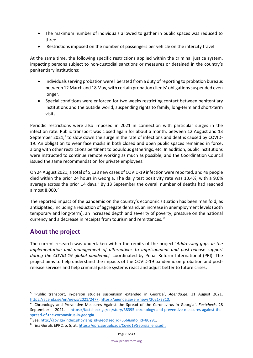- The maximum number of individuals allowed to gather in public spaces was reduced to three
- Restrictions imposed on the number of passengers per vehicle on the intercity travel

At the same time, the following specific restrictions applied within the criminal justice system, impacting persons subject to non-custodial sanctions or measures or detained in the country's penitentiary institutions:

- Individuals serving probation were liberated from a duty of reporting to probation bureaus between 12 March and 18 May, with certain probation clients' obligations suspended even longer.
- Special conditions were enforced for two weeks restricting contact between penitentiary institutions and the outside world, suspending rights to family, long-term and short-term visits.

Periodic restrictions were also imposed in 2021 in connection with particular surges in the infection rate. Public transport was closed again for about a month, between 12 August and 13 September 2021,<sup>5</sup> to slow down the surge in the rate of infections and deaths caused by COVID-19. An obligation to wear face masks in both closed and open public spaces remained in force, along with other restrictions pertinent to populous gatherings, etc. In addition, public institutions were instructed to continue remote working as much as possible, and the Coordination Council issued the same recommendation for private employees.

On 24 August 2021, a total of 5,128 new cases of COVID-19 infection were reported, and 49 people died within the prior 24 hours in Georgia. The daily test positivity rate was 10.4%, with a 9.6% average across the prior 14 days.<sup>6</sup> By 13 September the overall number of deaths had reached almost 8,000.<sup>7</sup>

The reported impact of the pandemic on the country's economic situation has been manifold, as anticipated, including a reduction of aggregate demand, an increase in unemployment levels (both temporary and long-term), an increased depth and severity of poverty, pressure on the national currency and a decrease in receipts from tourism and remittances. <sup>8</sup>

## <span id="page-7-0"></span>**About the project**

The current research was undertaken within the remits of the project '*Addressing gaps in the implementation and management of alternatives to imprisonment and post-release support during the COVID-19 global pandemic,*' coordinated by Penal Reform International (PRI). The project aims to help understand the impacts of the COVID-19 pandemic on probation and postrelease services and help criminal justice systems react and adjust better to future crises.

<sup>5</sup> 'Public transport, in-person studies suspension extended in Georgia', *Agenda.ge*, 31 August 2021, [https://agenda.ge/en/news/2021/2477,](https://agenda.ge/en/news/2021/2477) [https://agenda.ge/en/news/2021/2310.](https://agenda.ge/en/news/2021/2310)

<sup>6</sup> 'Chronology and Preventive Measures Against the Spread of the Coronavirus in Georgia', *Factcheck*, 28 September 2021, [https://factcheck.ge/en/story/38395-chronology-and-preventive-measures-against-the](https://factcheck.ge/en/story/38395-chronology-and-preventive-measures-against-the-spread-of-the-coronavirus-in-georgia)[spread-of-the-coronavirus-in-georgia.](https://factcheck.ge/en/story/38395-chronology-and-preventive-measures-against-the-spread-of-the-coronavirus-in-georgia)

<sup>&</sup>lt;sup>7</sup> See: [http://gov.ge/index.php?lang\\_id=geo&sec\\_id=556&info\\_id=80291.](http://gov.ge/index.php?lang_id=geo&sec_id=556&info_id=80291)

<sup>&</sup>lt;sup>8</sup> Irina Guruli, EPRC, p. 5, at: [https://eprc.ge/uploads/Covid19Georgia\\_eng.pdf.](https://eprc.ge/uploads/Covid19Georgia_eng.pdf)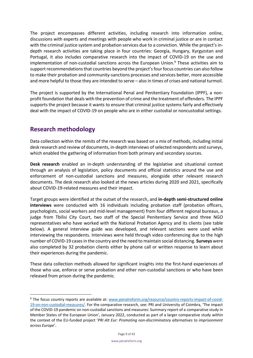The project encompasses different activities, including research into information online, discussions with experts and meetings with people who work in criminal justice or are in contact with the criminal justice system and probation services due to a conviction. While the project's indepth research activities are taking place in four countries: Georgia, Hungary, Kyrgyzstan and Portugal, it also includes comparative research into the impact of COVID-19 on the use and implementation of non-custodial sanctions across the European Union. <sup>9</sup> These activities aim to support recommendations that countries beyond the project's four focus countries can also follow to make their probation and community-sanctions processes and services better, more accessible and more helpful to those they are intended to serve – also in times of crises and national turmoil.

The project is supported by the International Penal and Penitentiary Foundation (IPPF), a nonprofit foundation that deals with the prevention of crime and the treatment of offenders. The IPPF supports the project because it wants to ensure that criminal justice systems fairly and effectively deal with the impact of COVID-19 on people who are in either custodial or noncustodial settings.

## <span id="page-8-0"></span>**Research methodology**

Data collection within the remits of the research was based on a mix of methods, including initial desk research and review of documents, in-depth interviews of selected respondents and surveys, which enabled the gathering of information from both primary and secondary sources.

**Desk research** enabled an in-depth understanding of the legislative and situational context through an analysis of legislation, policy documents and official statistics around the use and enforcement of non-custodial sanctions and measures, alongside other relevant research documents. The desk research also looked at the news articles during 2020 and 2021, specifically about COVID-19-related measures and their impact.

Target groups were identified at the outset of the research, and **in-depth semi-structured online interviews** were conducted with 16 individuals including probation staff (probation officers, psychologists, social workers and mid-level management) from four different regional bureaus, a judge from Tbilisi City Court, two staff of the Special Penitentiary Service and three NGO representatives who have worked with the National Probation Agency and its clients (see table below). A general interview guide was developed, and relevant sections were used while interviewing the respondents. Interviews were held through video conferencing due to the high number of COVID-19 cases in the country and the need to maintain social distancing. **Surveys** were also completed by 32 probation clients either by phone call or written response to learn about their experiences during the pandemic.

These data collection methods allowed for significant insights into the first-hand experiences of those who use, enforce or serve probation and other non-custodial sanctions or who have been released from prison during the pandemic.

<sup>&</sup>lt;sup>9</sup> The focus country reports are available at: [www.penalreform.org/resource/country-reports-impact-of-covid-](http://www.penalreform.org/resource/country-reports-impact-of-covid-19-on-non-custodial-measures/)[19-on-non-custodial-measures/.](http://www.penalreform.org/resource/country-reports-impact-of-covid-19-on-non-custodial-measures/) For the comparative research, see: PRI and University of Coimbra, 'The impact of the COVID-19 pandemic on non-custodial sanctions and measures: Summary report of a comparative study in Member States of the European Union', January 2022, conducted as part of a larger comparative study within the context of the EU-funded project '*PRI Alt Eur: Promoting non-discriminatory alternatives to imprisonment across Europe*'.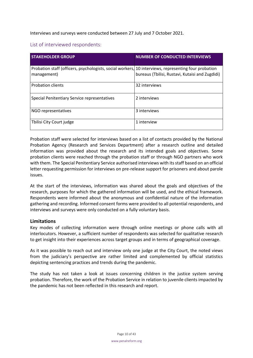Interviews and surveys were conducted between 27 July and 7 October 2021.

## <span id="page-9-0"></span>List of interviewed respondents:

| <b>STAKEHOLDER GROUP</b>                                                                                            | <b>NUMBER OF CONDUCTED INTERVIEWS</b>           |
|---------------------------------------------------------------------------------------------------------------------|-------------------------------------------------|
| Probation staff (officers, psychologists, social workers, 10 interviews, representing four probation<br>management) | bureaus (Tbilisi, Rustavi, Kutaisi and Zugdidi) |
| <b>Probation clients</b>                                                                                            | 32 interviews                                   |
| Special Penitentiary Service representatives                                                                        | 2 interviews                                    |
| NGO representatives                                                                                                 | 3 interviews                                    |
| Tbilisi City Court judge                                                                                            | 1 interview                                     |

Probation staff were selected for interviews based on a list of contacts provided by the National Probation Agency (Research and Services Department) after a research outline and detailed information was provided about the research and its intended goals and objectives. Some probation clients were reached through the probation staff or through NGO partners who work with them. The Special Penitentiary Service authorised interviews with its staff based on an official letter requesting permission for interviews on pre-release support for prisoners and about parole issues.

At the start of the interviews, information was shared about the goals and objectives of the research, purposes for which the gathered information will be used, and the ethical framework. Respondents were informed about the anonymous and confidential nature of the information gathering and recording. Informed consent forms were provided to all potential respondents, and interviews and surveys were only conducted on a fully voluntary basis.

## <span id="page-9-1"></span>**Limitations**

Key modes of collecting information were through online meetings or phone calls with all interlocutors. However, a sufficient number of respondents was selected for qualitative research to get insight into their experiences across target groups and in terms of geographical coverage.

As it was possible to reach out and interview only one judge at the City Court, the noted views from the judiciary's perspective are rather limited and complemented by official statistics depicting sentencing practices and trends during the pandemic.

The study has not taken a look at issues concerning children in the justice system serving probation. Therefore, the work of the Probation Service in relation to juvenile clients impacted by the pandemic has not been reflected in this research and report.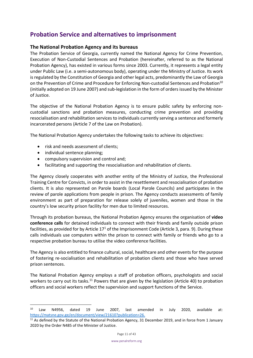## <span id="page-10-0"></span>**Probation Service and alternatives to imprisonment**

#### <span id="page-10-1"></span>**The National Probation Agency and its bureaus**

The Probation Service of Georgia, currently named the National Agency for Crime Prevention, Execution of Non-Custodial Sentences and Probation (hereinafter, referred to as the National Probation Agency), has existed in various forms since 2003. Currently, it represents a legal entity under Public Law (i.e. a semi-autonomous body), operating under the Ministry of Justice. Its work is regulated by the Constitution of Georgia and other legal acts, predominantly the Law of Georgia on the Prevention of Crime and Procedure for Enforcing Non-custodial Sentences and Probation<sup>10</sup> (initially adopted on 19 June 2007) and sub-legislation in the form of orders issued by the Minister of Justice.

The objective of the National Probation Agency is to ensure public safety by enforcing noncustodial sanctions and probation measures, conducting crime prevention and providing resocialisation and rehabilitation services to individuals currently serving a sentence and formerly incarcerated persons (Article 7 of the Law on Probation).

The National Probation Agency undertakes the following tasks to achieve its objectives:

- risk and needs assessment of clients;
- individual sentence planning;
- compulsory supervision and control and;
- facilitating and supporting the resocialisation and rehabilitation of clients.

The Agency closely cooperates with another entity of the Ministry of Justice, the Professional Training Centre for Convicts, in order to assist in the resettlement and resocialisation of probation clients. It is also represented on Parole boards (Local Parole Councils) and participates in the review of parole applications from people in prison. The Agency conducts assessments of family environment as part of preparation for release solely of juveniles, women and those in the country's low security prison facility for men due to limited resources.

Through its probation bureaus, the National Probation Agency ensures the organisation of **video conference calls** for detained individuals to connect with their friends and family outside prison facilities, as provided for by Article  $17<sup>1</sup>$  of the Imprisonment Code (Article 3, para. 9). During these calls individuals use computers within the prison to connect with family or friends who go to a respective probation bureau to utilise the video conference facilities.

The Agency is also entitled to finance cultural, social, healthcare and other events for the purpose of fostering re-socialisation and rehabilitation of probation clients and those who have served prison sentences.

The National Probation Agency employs a staff of probation officers, psychologists and social workers to carry out its tasks.<sup>11</sup> Powers that are given by the legislation (Article 40) to probation officers and social workers reflect the supervision and support functions of the Service.

<sup>10</sup> Law N4956, dated 19 June 2007, last amended in July 2020, available at: [https://matsne.gov.ge/en/document/view/21610?publication=26.](https://matsne.gov.ge/en/document/view/21610?publication=26)

<sup>&</sup>lt;sup>11</sup> As defined by the Statute of the National Probation Agency, 31 December 2019, and in force from 1 January 2020 by the Order N485 of the Minister of Justice.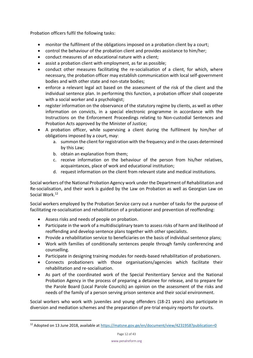Probation officers fulfil the following tasks:

- monitor the fulfilment of the obligations imposed on a probation client by a court;
- control the behaviour of the probation client and provides assistance to him/her;
- conduct measures of an educational nature with a client;
- assist a probation client with employment, as far as possible;
- conduct other measures facilitating the re-socialisation of a client, for which, where necessary, the probation officer may establish communication with local self-government bodies and with other state and non-state bodies;
- enforce a relevant legal act based on the assessment of the risk of the client and the individual sentence plan. In performing this function, a probation officer shall cooperate with a social worker and a psychologist;
- register information on the observance of the statutory regime by clients, as well as other information on convicts, in a special electronic programme in accordance with the Instructions on the Enforcement Proceedings relating to Non-custodial Sentences and Probation Acts approved by the Minister of Justice;
- A probation officer, while supervising a client during the fulfilment by him/her of obligations imposed by a court, may:
	- a. summon the client for registration with the frequency and in the cases determined by this Law;
	- b. obtain an explanation from them;
	- c. receive information on the behaviour of the person from his/her relatives, acquaintances, place of work and educational institution;
	- d. request information on the client from relevant state and medical institutions.

Social workers of the National Probation Agency work under the Department of Rehabilitation and Re-socialisation, and their work is guided by the Law on Probation as well as Georgian Law on Social Work.<sup>12</sup>

Social workers employed by the Probation Service carry out a number of tasks for the purpose of facilitating re-socialisation and rehabilitation of a probationer and prevention of reoffending:

- Assess risks and needs of people on probation.
- Participate in the work of a multidisciplinary team to assess risks of harm and likelihood of reoffending and develop sentence plans together with other specialists.
- Provide a rehabilitation service to beneficiaries on the basis of individual sentence plans;
- Work with families of conditionally sentences people through family conferencing and counselling.
- Participate in designing training modules for needs-based rehabilitation of probationers.
- Connects probationers with those organisations/agencies which facilitate their rehabilitation and re-socialisation.
- As part of the coordinated work of the Special Penitentiary Service and the National Probation Agency in the process of preparing a detainee for release, and to prepare for the Parole Board (Local Parole Councils) an opinion on the assessment of the risks and needs of the family of a person serving prison sentence and their social environment.

Social workers who work with juveniles and young offenders (18-21 years) also participate in diversion and mediation schemes and the preparation of pre-trial enquiry reports for courts.

<sup>&</sup>lt;sup>12</sup> Adopted on 13 June 2018, available at<https://matsne.gov.ge/en/document/view/4231958?publication=0>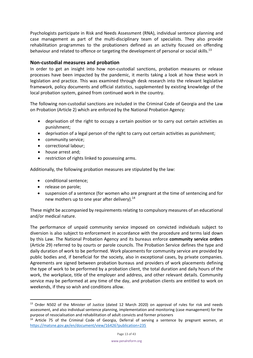Psychologists participate in Risk and Needs Assessment (RNA), individual sentence planning and case management as part of the multi-disciplinary team of specialists. They also provide rehabilitation programmes to the probationers defined as an activity focused on offending behaviour and related to offence or targeting the development of personal or social skills.<sup>13</sup>

### <span id="page-12-0"></span>**Non-custodial measures and probation**

In order to get an insight into how non-custodial sanctions, probation measures or release processes have been impacted by the pandemic, it merits taking a look at how these work in legislation and practice. This was examined through desk research into the relevant legislative framework, policy documents and official statistics, supplemented by existing knowledge of the local probation system, gained from continued work in the country.

The following non-custodial sanctions are included in the Criminal Code of Georgia and the Law on Probation (Article 2) which are enforced by the National Probation Agency:

- deprivation of the right to occupy a certain position or to carry out certain activities as punishment;
- deprivation of a legal person of the right to carry out certain activities as punishment;
- community service;
- correctional labour;
- house arrest and;
- restriction of rights linked to possessing arms.

Additionally, the following probation measures are stipulated by the law:

- conditional sentence;
- release on parole;
- suspension of a sentence (for women who are pregnant at the time of sentencing and for new mothers up to one year after delivery).<sup>14</sup>

These might be accompanied by requirements relating to compulsory measures of an educational and/or medical nature.

The performance of unpaid community service imposed on convicted individuals subject to diversion is also subject to enforcement in accordance with the procedure and terms laid down by this Law. The National Probation Agency and its bureaus enforce **community service orders** (Article 29) referred to by courts or parole councils. The Probation Service defines the type and daily duration of work to be performed. Work placements for community service are provided by public bodies and, if beneficial for the society, also in exceptional cases, by private companies. Agreements are signed between probation bureaus and providers of work placements defining the type of work to be performed by a probation client, the total duration and daily hours of the work, the workplace, title of the employer and address, and other relevant details. Community service may be performed at any time of the day, and probation clients are entitled to work on weekends, if they so wish and conditions allow.

<sup>&</sup>lt;sup>13</sup> Order N502 of the Minister of Justice (dated 12 March 2020) on approval of rules for risk and needs assessment, and also individual sentence planning, implementation and monitoring (case management) for the purpose of resocialisation and rehabilitation of adult convicts and former prisoners

<sup>&</sup>lt;sup>14</sup> Article 75 of the Criminal Code of Georgia, Deferral of serving a sentence by pregnant women, at <https://matsne.gov.ge/en/document/view/16426?publication=235>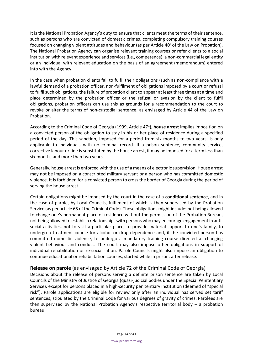It is the National Probation Agency's duty to ensure that clients meet the terms of their sentence, such as persons who are convicted of domestic crimes, completing compulsory training courses focused on changing violent attitudes and behaviour (as per Article  $40^1$  of the Law on Probation). The National Probation Agency can organise relevant training courses or refer clients to a social institution with relevant experience and services (i.e., competence), a non-commercial legal entity or an individual with relevant education on the basis of an agreement (memorandum) entered into with the Agency.

In the case when probation clients fail to fulfil their obligations (such as non-compliance with a lawful demand of a probation officer, non-fulfilment of obligations imposed by a court or refusal to fulfil such obligations, the failure of probation client to appear at least three times at a time and place determined by the probation officer or the refusal or evasion by the client to fulfil obligations, probation officers can use this as grounds for a recommendation to the court to revoke or alter the terms of non-custodial sentence, as envisaged by Article 44 of the Law on Probation.

According to the Criminal Code of Georgia (1999, Article 47<sup>1</sup>), **house arrest** implies imposition on a convicted person of the obligation to stay in his or her place of residence during a specified period of the day. This sanction, imposed for a period from six months to two years, is only applicable to individuals with no criminal record. If a prison sentence, community service, corrective labour or fine is substituted by the house arrest, it may be imposed for a term less than six months and more than two years.

Generally, house arrest is enforced with the use of a means of electronic supervision. House arrest may not be imposed on a conscripted military servant or a person who has committed domestic violence. It is forbidden for a convicted person to cross the border of Georgia during the period of serving the house arrest.

Certain obligations might be imposed by the court in the case of a **conditional sentence**, and in the case of parole, by Local Councils, fulfilment of which is then supervised by the Probation Service (as per article 65 of the Criminal Code). These obligations might include: not being allowed to change one's permanent place of residence without the permission of the Probation Bureau, not being allowed to establish relationships with persons who may encourage engagement in antisocial activities, not to visit a particular place, to provide material support to one's family, to undergo a treatment course for alcohol or drug dependence and, if the convicted person has committed domestic violence, to undergo a mandatory training course directed at changing violent behaviour and conduct. The court may also impose other obligations in support of individual rehabilitation or re-socialisation. Parole Councils might also impose an obligation to continue educational or rehabilitation courses, started while in prison, after release.

## <span id="page-13-0"></span>**Release on parole** (as envisaged by Article 72 of the Criminal Code of Georgia)

Decisions about the release of persons serving a definite prison sentence are taken by Local Councils of the Ministry of Justice of Georgia (quasi-judicial bodies under the Special Penitentiary Service), except for persons placed in a high-security penitentiary institution (deemed of "special risk"). Parole applications are eligible for review only after an individual has served set tariff sentences, stipulated by the Criminal Code for various degrees of gravity of crimes. Parolees are then supervised by the National Probation Agency's respective territorial body – a probation bureau.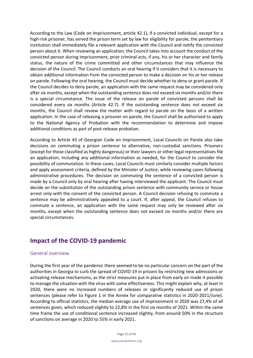According to the Law (Code on Imprisonment, article 42.1), if a convicted individual, except for a high-risk prisoner, has served the prison term set by law for eligibility for parole, the penitentiary institution shall immediately file a relevant application with the Council and notify the convicted person about it. When reviewing an application, the Council takes into account the conduct of the convicted person during imprisonment, prior criminal acts, if any, his or her character and family status, the nature of the crime committed and other circumstances that may influence the decision of the Council. The Council conducts an oral hearing if it considers that it is necessary to obtain additional information from the convicted person to make a decision on his or her release on parole. Following the oral hearing, the Council must decide whether to deny or grant parole. If the Council decides to deny parole, an application with the same request may be considered only after six months, except when the outstanding sentence does not exceed six months and/or there is a special circumstance. The issue of the release on parole of convicted persons shall be considered every six months (Article 42.7). If the outstanding sentence does not exceed six months, the Council shall review the matter with regard to parole on the basis of a written application. In the case of releasing a prisoner on parole, the Council shall be authorised to apply to the National Agency of Probation with the recommendation to determine and impose additional conditions as part of post-release probation.

According to Article 43 of Georgian Code on Imprisonment, Local Councils on Parole also take decisions on commuting a prison sentence to alternative, non-custodial sanctions. Prisoners (except for those classified as highly dangerous) or their lawyers or other legal representatives file an application, including any additional information as needed, for the Council to consider the possibility of commutation. In these cases, Local Councils must similarly consider multiple factors and apply assessment criteria, defined by the Minister of Justice, while reviewing cases following administrative procedures. The decision on commuting the sentence of a convicted person is made by a Council only by oral hearing after having interviewed the applicant. The Council must decide on the substitution of the outstanding prison sentence with community service or house arrest only with the consent of the convicted person. A Council decision refusing to commute a sentence may be administratively appealed to a court. If, after appeal, the Council refuses to commute a sentence, an application with the same request may only be reviewed after six months, except when the outstanding sentence does not exceed six months and/or there are special circumstances.

## <span id="page-14-0"></span>**Impact of the COVID-19 pandemic**

#### <span id="page-14-1"></span>General overview

During the first year of the pandemic there seemed to be no particular concern on the part of the authorities in Georgia to curb the spread of COVID-19 in prisons by restricting new admissions or activating release mechanisms, as the strict measures put in place from early on made it possible to manage the situation with the virus with some effectiveness. This might explain why, at least in 2020, there were no increased numbers of releases or significantly reduced use of prison sentences (please refer to Figure 1 in the Annex for comparative statistics in 2020-2021/June). According to official statistics, the median average use of imprisonment in 2020 was 27,4% of all sentences given, which reduced slightly to 22,8% in the first six months of 2021. Within the same time frame the use of conditional sentence increased slightly, from around 50% in the structure of sanctions on average in 2020 to 55% in early 2021.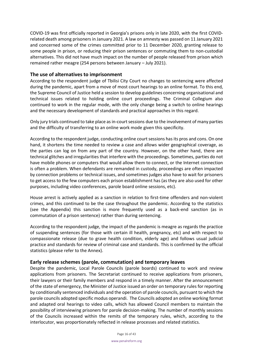COVID-19 was first officially reported in Georgia's prisons only in late 2020, with the first COVIDrelated death among prisoners in January 2021. A law on amnesty was passed on 11 January 2021 and concerned some of the crimes committed prior to 11 December 2020, granting release to some people in prison, or reducing their prison sentences or commuting them to non-custodial alternatives. This did not have much impact on the number of people released from prison which remained rather meagre (254 persons between January – July 2021).

## <span id="page-15-0"></span>**The use of alternatives to imprisonment**

According to the respondent judge of Tbilisi City Court no changes to sentencing were affected during the pandemic, apart from a move of most court hearings to an online format. To this end, the Supreme Council of Justice held a session to develop guidelines concerning organisational and technical issues related to holding online court proceedings. The Criminal Collegium also continued to work in the regular mode, with the only change being a switch to online hearings and the necessary development of standards and practical approaches in this regard.

Only jury trials continued to take place as in-court sessions due to the involvement of many parties and the difficulty of transferring to an online work mode given this specificity.

According to the respondent judge, conducting online court sessions has its pros and cons. On one hand, it shortens the time needed to review a case and allows wider geographical coverage, as the parties can log on from any part of the country. However, on the other hand, there are technical glitches and irregularities that interfere with the proceedings. Sometimes, parties do not have mobile phones or computers that would allow them to connect, or the Internet connection is often a problem. When defendants are remanded in custody, proceedings are often impacted by connection problems or technical issues, and sometimes judges also have to wait for prisoners to get access to the few computers each prison establishment has (as they are also used for other purposes, including video conferences, parole board online sessions, etc).

House arrest is actively applied as a sanction in relation to first-time offenders and non-violent crimes, and this continued to be the case throughout the pandemic. According to the statistics (see the Appendix) this sanction is more frequently used as a back-end sanction (as in commutation of a prison sentence) rather than during sentencing.

According to the respondent judge, the impact of the pandemic is meagre as regards the practice of suspending sentences (for those with certain ill health, pregnancy, etc) and with respect to compassionate release (due to grave health condition, elderly age) and follows usual judicial practice and standards for review of criminal case and standards. This is confirmed by the official statistics (please refer to the Annex).

## <span id="page-15-1"></span>**Early release schemes (parole, commutation) and temporary leaves**

Despite the pandemic, Local Parole Councils (parole boards) continued to work and review applications from prisoners. The Secretariat continued to receive applications from prisoners, their lawyers or their family members and respond in a timely manner. After the announcement of the state of emergency, the Minister of Justice issued an order on temporary rules for reporting by conditionally sentenced individuals and the operation of parole councils, pursuant to which the parole councils adopted specific modus operandi. The Councils adopted an online working format and adapted oral hearings to video calls, which has allowed Council members to maintain the possibility of interviewing prisoners for parole decision-making. The number of monthly sessions of the Councils increased within the remits of the temporary rules, which, according to the interlocutor, was proportionately reflected in release processes and related statistics.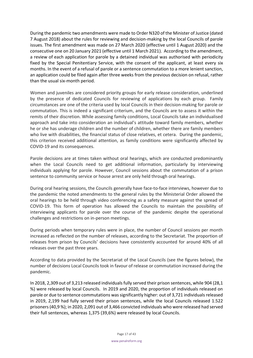During the pandemic two amendments were made to Order N320 of the Minister of Justice (dated 7 August 2018) about the rules for reviewing and decision-making by the local Councils of parole issues. The first amendment was made on 27 March 2020 (effective until 1 August 2020) and the consecutive one on 20 January 2021 (effective until 1 March 2021). According to the amendment, a review of each application for parole by a detained individual was authorised with periodicity fixed by the Special Penitentiary Service, with the consent of the applicant, at least every six months. In the event of a refusal of parole or a sentence commutation to a more lenient sanction, an application could be filed again after three weeks from the previous decision on refusal, rather than the usual six-month period.

Women and juveniles are considered priority groups for early release consideration, underlined by the presence of dedicated Councils for reviewing of applications by each group. Family circumstances are one of the criteria used by local Councils in their decision-making for parole or commutation. This is indeed a significant criterium, and the Councils are to assess it within the remits of their discretion. While assessing family conditions, Local Councils take an individualised approach and take into consideration an individual's attitude toward family members, whether he or she has underage children and the number of children, whether there are family members who live with disabilities, the financial status of close relatives, et cetera. During the pandemic, this criterion received additional attention, as family conditions were significantly affected by COVID-19 and its consequences.

Parole decisions are at times taken without oral hearings, which are conducted predominantly when the Local Councils need to get additional information, particularly by interviewing individuals applying for parole. However, Council sessions about the commutation of a prison sentence to community service or house arrest are only held through oral hearings.

During oral hearing sessions, the Councils generally have face-to-face interviews, however due to the pandemic the noted amendments to the general rules by the Ministerial Order allowed the oral hearings to be held through video conferencing as a safety measure against the spread of COVID-19. This form of operation has allowed the Councils to maintain the possibility of interviewing applicants for parole over the course of the pandemic despite the operational challenges and restrictions on in-person meetings.

During periods when temporary rules were in place, the number of Council sessions per month increased as reflected on the number of releases, according to the Secretariat. The proportion of releases from prison by Councils' decisions have consistently accounted for around 40% of all releases over the past three years.

According to data provided by the Secretariat of the Local Councils (see the figures below), the number of decisions Local Councils took in favour of release or commutation increased during the pandemic.

In 2018, 2,309 out of 3,213 released individuals fully served their prison sentences, while 904 (28,1 %) were released by local Councils. In 2019 and 2020, the proportion of individuals released on parole or due to sentence commutations was significantly higher: out of 3,721 individuals released in 2019, 2,199 had fully served their prison sentences, while the local Councils released 1.522 prisoners (40,9 %); in 2020, 2,091 out of 3,466 convicted individuals who were released had served their full sentences, whereas 1,375 (39,6%) were released by local Councils.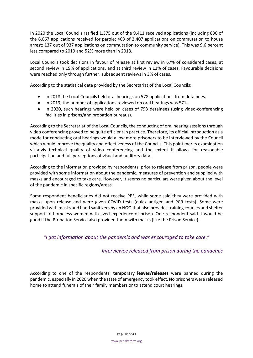In 2020 the Local Councils ratified 1,375 out of the 9,411 received applications (including 830 of the 6,067 applications received for parole; 408 of 2,407 applications on commutation to house arrest; 137 out of 937 applications on commutation to community service). This was 9,6 percent less compared to 2019 and 52% more than in 2018.

Local Councils took decisions in favour of release at first review in 67% of considered cases, at second review in 19% of applications, and at third review in 11% of cases. Favourable decisions were reached only through further, subsequent reviews in 3% of cases.

According to the statistical data provided by the Secretariat of the Local Councils:

- In 2018 the Local Councils held oral hearings on 578 applications from detainees.
- In 2019, the number of applications reviewed on oral hearings was 571.
- In 2020, such hearings were held on cases of 798 detainees (using video-conferencing facilities in prisons/and probation bureaus).

According to the Secretariat of the Local Councils, the conducting of oral hearing sessions through video conferencing proved to be quite efficient in practice. Therefore, its official introduction as a mode for conducting oral hearings would allow more prisoners to be interviewed by the Council which would improve the quality and effectiveness of the Councils. This point merits examination vis-à-vis technical quality of video conferencing and the extent it allows for reasonable participation and full perceptions of visual and auditory data.

According to the information provided by respondents, prior to release from prison, people were provided with some information about the pandemic, measures of prevention and supplied with masks and encouraged to take care. However, it seems no particulars were given about the level of the pandemic in specific regions/areas.

Some respondent beneficiaries did not receive PPE, while some said they were provided with masks upon release and were given COVID tests (quick antigen and PCR tests). Some were provided with masks and hand sanitizers by an NGO that also provides training courses and shelter support to homeless women with lived experience of prison. One respondent said it would be good if the Probation Service also provided them with masks (like the Prison Service).

*"I got information about the pandemic and was encouraged to take care."*

## *Interviewee released from prison during the pandemic*

According to one of the respondents, **temporary leaves/releases** were banned during the pandemic, especially in 2020 when the state of emergency took effect. No prisoners were released home to attend funerals of their family members or to attend court hearings.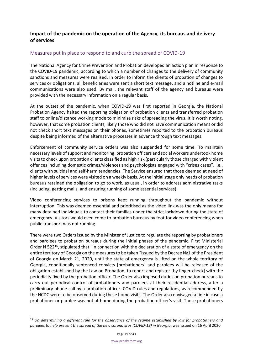## <span id="page-18-1"></span><span id="page-18-0"></span>**Impact of the pandemic on the operation of the Agency, its bureaus and delivery of services**

## <span id="page-18-2"></span>Measures put in place to respond to and curb the spread of COVID-19

The National Agency for Crime Prevention and Probation developed an action plan in response to the COVID-19 pandemic, according to which a number of changes to the delivery of community sanctions and measures were realised. In order to inform the clients of probation of changes to services or obligations, all beneficiaries were sent a short text message, and a hotline and e-mail communications were also used. By mail, the relevant staff of the agency and bureaus were provided with the necessary information on a regular basis.

At the outset of the pandemic, when COVID-19 was first reported in Georgia, the National Probation Agency halted the reporting obligation of probation clients and transferred probation staff to online/distance working mode to minimise risks of spreading the virus. It is worth noting, however, that some probation clients, likely those who did not have communication means or did not check short text messages on their phones, sometimes reported to the probation bureaus despite being informed of the alternative processes in advance through text messages.

Enforcement of community service orders was also suspended for some time. To maintain necessary levels of support and monitoring, probation officers and social workers undertook home visits to check upon probation clients classified as high risk (particularly those charged with violent offences including domestic crimes/violence) and psychologists engaged with "crises cases", i.e., clients with suicidal and self-harm tendencies. The Service ensured that those deemed at need of higher levels of services were visited on a weekly basis. At the initial stage only heads of probation bureaus retained the obligation to go to work, as usual, in order to address administrative tasks (including, getting mails, and ensuring running of some essential services).

Video conferencing services to prisons kept running throughout the pandemic without interruption. This was deemed essential and prioritised as the video link was the only means for many detained individuals to contact their families under the strict lockdown during the state of emergency. Visitors would even come to probation bureaus by foot for video conferencing when public transport was not running.

There were two Orders issued by the Minister of Justice to regulate the reporting by probationers and parolees to probation bureaus during the initial phases of the pandemic. First Ministerial Order N 522<sup>15</sup>, stipulated that "In connection with the declaration of a state of emergency on the entire territory of Georgia on the measures to be taken "issued by the Decree №1 of the President of Georgia on March 21, 2020, until the state of emergency is lifted on the whole territory of Georgia, conditionally sentenced convicts [probationers] and parolees will be released of the obligation established by the Law on Probation, to report and register [by finger-check] with the periodicity fixed by the probation officer. The Order also imposed duties on probation bureaus to carry out periodical control of probationers and parolees at their residential address, after a preliminary phone call by a probation officer. COVID rules and regulations, as recommended by the NCDC were to be observed during these home visits. The Order also envisaged a fine in case a probationer or parolee was not at home during the probation officer's visit. Those probationers

<sup>15</sup> *On determining a different rule for the observance of the regime established by law for probationers and parolees to help prevent the spread of the new coronavirus (COVID-19) in Georgia, was issued on 16 April 2020*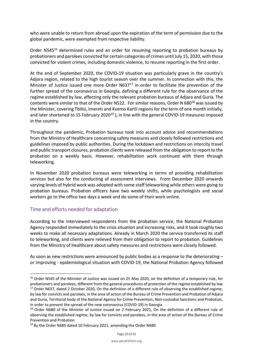who were unable to return from abroad upon the expiration of the term of permission due to the global pandemic, were exempted from respective liability.

Order N545<sup>16</sup> determined rules and an order for resuming reporting to probation bureaus by probationers and parolees convicted for certain categories of crimes until July 15, 2020, with those convicted for violent crimes, including domestic violence, to resume reporting in the first order.

At the end of September 2020, the COVID-19 situation was particularly grave in the country's Adjara region, related to the high tourist season over the summer. In connection with this, the Minister of Justice issued one more Order  $N637^{17}$  in order to facilitate the prevention of the further spread of the coronavirus in Georgia, defining a different rule for the observance of the regime established by law, affecting only the relevant probation bureaus of Adjara and Guria. The contents were similar to that of the Order N522. For similar reasons, Order N  $680^{18}$  was issued by the Minister, covering Tbilisi, Imereti and Kvemo Kartli regions for the term of one month initially, and later shortened to 15 February 2020<sup>19</sup>), in line with the general COVID-19 measures imposed in the country.

Throughout the pandemic, Probation bureaus took into account advice and recommendations from the Ministry of Healthcare concerning safety measures and closely followed restrictions and guidelines imposed by public authorities. During the lockdown and restrictions on intercity travel and public transport closures, probation clients were released from the obligation to report to the probation on a weekly basis. However, rehabilitation work continued with them through teleworking.

In November 2020 probation bureaus were teleworking in terms of providing rehabilitation services but also for the conducting of assessment interviews. From December 2020 onwards varying levels of hybrid work was adopted with some staff teleworking while others were going to probation bureaus. Probation officers have two weekly shifts, while psychologists and social workers go to the office two days a week and do some of their work online.

## <span id="page-19-0"></span>Time and efforts needed for adaptation

According to the interviewed respondents from the probation service, the National Probation Agency responded immediately to the crisis situation and increasing risks, and it took roughly two weeks to make all necessary adaptations. Already in March 2020 the service transferred its staff to teleworking, and clients were relieved from their obligation to report to probation. Guidelines from the Ministry of Healthcare about safety measures and restrictions were closely followed.

As soon as new restrictions were announced by public bodies as a response to the deteriorating – or improving - epidemiological situation with COVID-19, the National Probation Agency followed

<sup>&</sup>lt;sup>16</sup> Order N545 of the Minister of Justice was issued on 25 May 2020, on the definition of a temporary rule, for probationers and parolees, different from the general procedures of protection of the regime established by law <sup>17</sup> Order N637, dated 2 October 2020, On the definition of a different rule of observing the established regime, by law for convicts and parolees, in the area of action of the Bureau of Crime Prevention and Probation of Adjara and Guria, Territorial body of the National Agency for Crime Prevention, Non-custodial Sanctions and Probation, in order to prevent the spread of the new coronavirus (COVID-19) in Georgia

<sup>&</sup>lt;sup>18</sup> Order N680 of the Minister of Justice issued on 2 February 2021, On the definition of a different rule of observing the established regime, by law for convicts and parolees, in the area of action of the Bureau of Crime Prevention and Probation

<sup>&</sup>lt;sup>19</sup> By the Order N685 dated 10 February 2021, amending the Order N680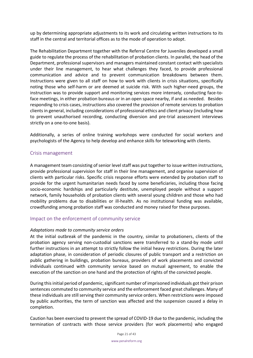up by determining appropriate adjustments to its work and circulating written instructions to its staff in the central and territorial offices as to the mode of operation to adopt.

The Rehabilitation Department together with the Referral Centre for Juveniles developed a small guide to regulate the process of the rehabilitation of probation clients. In parallel, the head of the Department, professional supervisors and managers maintained constant contact with specialists under their line management, to hear what challenges they faced, to provide professional communication and advice and to prevent communication breakdowns between them. Instructions were given to all staff on how to work with clients in crisis situations, specifically noting those who self-harm or are deemed at suicide risk. With such higher-need groups, the instruction was to provide support and monitoring services more intensely, conducting face-toface meetings, in either probation bureaus or in an open space nearby, if and as needed. Besides responding to crisis cases, instructions also covered the provision of remote services to probation clients in general, including considerations of professional ethics and client privacy (including how to prevent unauthorised recording, conducting diversion and pre-trial assessment interviews strictly on a one-to-one basis).

Additionally, a series of online training workshops were conducted for social workers and psychologists of the Agency to help develop and enhance skills for teleworking with clients.

#### <span id="page-20-0"></span>Crisis management

A management team consisting of senior level staff was put together to issue written instructions, provide professional supervision for staff in their line management, and organise supervision of clients with particular risks. Specific crisis response efforts were extended by probation staff to provide for the urgent humanitarian needs faced by some beneficiaries, including those facing socio-economic hardships and particularly destitute, unemployed people without a support network, family households of probation clients with several young children and those who had mobility problems due to disabilities or ill-health. As no institutional funding was available, crowdfunding among probation staff was conducted and money raised for these purposes.

## <span id="page-20-1"></span>Impact on the enforcement of community service

#### *Adaptations made to community service orders*

At the initial outbreak of the pandemic in the country, similar to probationers, clients of the probation agency serving non-custodial sanctions were transferred to a stand-by mode until further instructions in an attempt to strictly follow the initial heavy restrictions. During the later adaptation phase, in consideration of periodic closures of public transport and a restriction on public gathering in buildings, probation bureaus, providers of work placements and convicted individuals continued with community service based on mutual agreement, to enable the execution of the sanction on one hand and the protection of rights of the convicted people.

During this initial period of pandemic, significant number of imprisoned individuals got their prison sentences commuted to community service and the enforcement faced great challenges. Many of these individuals are still serving their community service orders. When restrictions were imposed by public authorities, the term of sanction was affected and the suspension caused a delay in completion.

Caution has been exercised to prevent the spread of COVID-19 due to the pandemic, including the termination of contracts with those service providers (for work placements) who engaged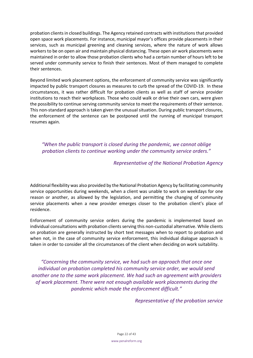probation clients in closed buildings. The Agency retained contracts with institutions that provided open space work placements. For instance, municipal mayor's offices provide placements in their services, such as municipal greening and cleaning services, where the nature of work allows workers to be on open air and maintain physical distancing. These open air work placements were maintained in order to allow those probation clients who had a certain number of hours left to be served under community service to finish their sentences. Most of them managed to complete their sentences.

Beyond limited work placement options, the enforcement of community service was significantly impacted by public transport closures as measures to curb the spread of the COVID-19. In these circumstances, it was rather difficult for probation clients as well as staff of service provider institutions to reach their workplaces. Those who could walk or drive their own cars, were given the possibility to continue serving community service to meet the requirements of their sentence. This non-standard approach is taken given the unusual situation. During public transport closures, the enforcement of the sentence can be postponed until the running of municipal transport resumes again.

*"When the public transport is closed during the pandemic, we cannot oblige probation clients to continue working under the community service orders."*

#### *Representative of the National Probation Agency*

Additional flexibility was also provided by the National Probation Agency by facilitating community service opportunities during weekends, when a client was unable to work on weekdays for one reason or another, as allowed by the legislation, and permitting the changing of community service placements when a new provider emerges closer to the probation client's place of residence.

Enforcement of community service orders during the pandemic is implemented based on individual consultations with probation clients serving this non-custodial alternative. While clients on probation are generally instructed by short text messages when to report to probation and when not, in the case of community service enforcement, this individual dialogue approach is taken in order to consider all the circumstances of the client when deciding on work suitability.

*"Concerning the community service, we had such an approach that once one individual on probation completed his community service order, we would send another one to the same work placement. We had such an agreement with providers of work placement. There were not enough available work placements during the pandemic which made the enforcement difficult."*

*Representative of the probation service*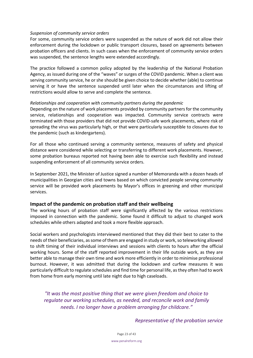#### *Suspension of community service orders*

For some, community service orders were suspended as the nature of work did not allow their enforcement during the lockdown or public transport closures, based on agreements between probation officers and clients. In such cases when the enforcement of community service orders was suspended, the sentence lengths were extended accordingly.

The practice followed a common policy adopted by the leadership of the National Probation Agency, as issued during one of the "waves" or surges of the COVID pandemic. When a client was serving community service, he or she should be given choice to decide whether (able) to continue serving it or have the sentence suspended until later when the circumstances and lifting of restrictions would allow to serve and complete the sentence.

#### *Relationships and cooperation with community partners during the pandemic*

Depending on the nature of work placements provided by community partners for the community service, relationships and cooperation was impacted. Community service contracts were terminated with those providers that did not provide COVID-safe work placements, where risk of spreading the virus was particularly high, or that were particularly susceptible to closures due to the pandemic (such as kindergartens).

For all those who continued serving a community sentence, measures of safety and physical distance were considered while selecting or transferring to different work placements. However, some probation bureaus reported not having been able to exercise such flexibility and instead suspending enforcement of all community service orders.

In September 2021, the Minister of Justice signed a number of Memoranda with a dozen heads of municipalities in Georgian cities and towns based on which convicted people serving community service will be provided work placements by Mayor's offices in greening and other municipal services.

#### <span id="page-22-0"></span>**Impact of the pandemic on probation staff and their wellbeing**

The working hours of probation staff were significantly affected by the various restrictions imposed in connection with the pandemic. Some found it difficult to adjust to changed work schedules while others adapted and took a more flexible approach.

Social workers and psychologists interviewed mentioned that they did their best to cater to the needs of their beneficiaries, as some of them are engaged in study or work, so teleworking allowed to shift timing of their individual interviews and sessions with clients to hours after the official working hours. Some of the staff reported improvement in their life outside work, as they are better able to manage their own time and work more efficiently in order to minimise professional burnout. However, it was admitted that during the lockdown and curfew measures it was particularly difficult to regulate schedules and find time for personal life, as they often had to work from home from early morning until late night due to high caseloads.

*"It was the most positive thing that we were given freedom and choice to regulate our working schedules, as needed, and reconcile work and family needs. I no longer have a problem arranging for childcare."*

*Representative of the probation service*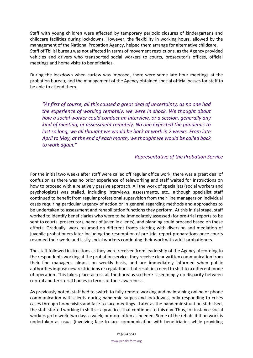Staff with young children were affected by temporary periodic closures of kindergartens and childcare facilities during lockdowns. However, the flexibility in working hours, allowed by the management of the National Probation Agency, helped them arrange for alternative childcare. Staff of Tbilisi bureau was not affected in terms of movement restrictions, as the Agency provided vehicles and drivers who transported social workers to courts, prosecutor's offices, official meetings and home visits to beneficiaries.

During the lockdown when curfew was imposed, there were some late hour meetings at the probation bureau, and the management of the Agency obtained special official passes for staff to be able to attend them.

*"At first of course, all this caused a great deal of uncertainty, as no one had the experience of working remotely, we were in shock. We thought about how a social worker could conduct an interview, or a session, generally any kind of meeting, or assessment remotely. No one expected the pandemic to*  last so long, we all thought we would be back at work in 2 weeks. From late *April to May, at the end of each month, we thought we would be called back to work again."*

#### *Representative of the Probation Service*

For the initial two weeks after staff were called off regular office work, there was a great deal of confusion as there was no prior experience of teleworking and staff waited for instructions on how to proceed with a relatively passive approach. All the work of specialists (social workers and psychologists) was stalled, including interviews, assessments, etc., although specialist staff continued to benefit from regular professional supervision from their line managers on individual cases requiring particular urgency of action or in general regarding methods and approaches to be undertaken to assessment and rehabilitation functions they perform. At this initial stage, staff worked to identify beneficiaries who were to be immediately assessed (for pre-trial reports to be sent to courts, prosecutors, needs of juvenile clients), and planning could proceed based on these efforts. Gradually, work resumed on different fronts starting with diversion and mediation of juvenile probationers later including the resumption of pre-trial report preparations once courts resumed their work, and lastly social workers continuing their work with adult probationers.

The staff followed instructions as they were received from leadership of the Agency. According to the respondents working at the probation service, they receive clear written communication from their line managers, almost on weekly basis, and are immediately informed when public authorities impose new restrictions or regulations that result in a need to shift to a different mode of operation. This takes place across all the bureaus so there is seemingly no disparity between central and territorial bodies in terms of their awareness.

As previously noted, staff had to switch to fully remote working and maintaining online or phone communication with clients during pandemic surges and lockdowns, only responding to crises cases through home visits and face-to-face meetings. Later as the pandemic situation stabilised, the staff started working in shifts – a practices that continues to this day. Thus, for instance social workers go to work two days a week, or more often as needed. Some of the rehabilitation work is undertaken as usual (involving face-to-face communication with beneficiaries while providing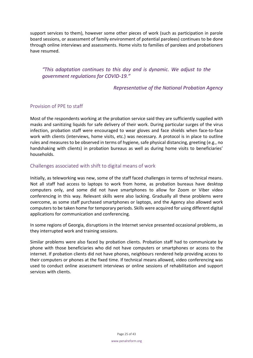support services to them), however some other pieces of work (such as participation in parole board sessions, or assessment of family environment of potential parolees) continues to be done through online interviews and assessments. Home visits to families of parolees and probationers have resumed.

*"This adaptation continues to this day and is dynamic. We adjust to the government regulations for COVID-19."*

*Representative of the National Probation Agency*

## <span id="page-24-0"></span>Provision of PPE to staff

Most of the respondents working at the probation service said they are sufficiently supplied with masks and sanitizing liquids for safe delivery of their work. During particular surges of the virus infection, probation staff were encouraged to wear gloves and face shields when face-to-face work with clients (interviews, home visits, etc.) was necessary. A protocol is in place to outline rules and measures to be observed in terms of hygiene, safe physical distancing, greeting (e.g., no handshaking with clients) in probation bureaus as well as during home visits to beneficiaries' households.

## <span id="page-24-1"></span>Challenges associated with shift to digital means of work

Initially, as teleworking was new, some of the staff faced challenges in terms of technical means. Not all staff had access to laptops to work from home, as probation bureaus have desktop computers only, and some did not have smartphones to allow for Zoom or Viber video conferencing in this way. Relevant skills were also lacking. Gradually all these problems were overcome, as some staff purchased smartphones or laptops, and the Agency also allowed work computers to be taken home for temporary periods. Skills were acquired for using different digital applications for communication and conferencing.

In some regions of Georgia, disruptions in the Internet service presented occasional problems, as they interrupted work and training sessions.

Similar problems were also faced by probation clients. Probation staff had to communicate by phone with those beneficiaries who did not have computers or smartphones or access to the internet. If probation clients did not have phones, neighbours rendered help providing access to their computers or phones at the fixed time. If technical means allowed, video conferencing was used to conduct online assessment interviews or online sessions of rehabilitation and support services with clients.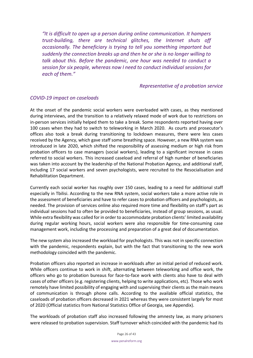*"It is difficult to open up a person during online communication. It hampers trust-building, there are technical glitches, the Internet shuts off occasionally. The beneficiary is trying to tell you something important but suddenly the connection breaks up and then he or she is no longer willing to talk about this. Before the pandemic, one hour was needed to conduct a session for six people, whereas now I need to conduct individual sessions for each of them."*

#### *Representative of a probation service*

## <span id="page-25-0"></span>*COVID-19 impact on caseloads*

At the onset of the pandemic social workers were overloaded with cases, as they mentioned during interviews, and the transition to a relatively relaxed mode of work due to restrictions on in-person services initially helped them to take a break. Some respondents reported having over 100 cases when they had to switch to teleworking in March 2020. As courts and prosecutor's offices also took a break during transitioning to lockdown measures, there were less cases received by the Agency, which gave staff some breathing space. However, a new RNA system was introduced in late 2020, which shifted the responsibility of assessing medium or high risk from probation officers to case managers (social workers), leading to a significant increase in cases referred to social workers. This increased caseload and referral of high number of beneficiaries was taken into account by the leadership of the National Probation Agency, and additional staff, including 17 social workers and seven psychologists, were recruited to the Resocialisation and Rehabilitation Department.

Currently each social worker has roughly over 150 cases, leading to a need for additional staff especially in Tbilisi. According to the new RNA system, social workers take a more active role in the assessment of beneficiaries and have to refer cases to probation officers and psychologists, as needed. The provision of services online also required more time and flexibility on staff's part as individual sessions had to often be provided to beneficiaries, instead of group sessions, as usual. While extra flexibility was called for in order to accommodate probation clients' limited availability during regular working hours, social workers were also responsible for time-consuming case management work, including the processing and preparation of a great deal of documentation.

The new system also increased the workload for psychologists. This was not in specific connection with the pandemic, respondents explain, but with the fact that transitioning to the new work methodology coincided with the pandemic.

Probation officers also reported an increase in workloads after an initial period of reduced work. While officers continue to work in shift, alternating between teleworking and office work, the officers who go to probation bureaus for face-to-face work with clients also have to deal with cases of other officers (e.g. registering clients, helping to write applications, etc). Those who work remotely have limited possibility of engaging with and supervising their clients as the main means of communication is through phone calls. According to the available official statistics, the caseloads of probation officers decreased in 2021 whereas they were consistent largely for most of 2020 (Official statistics from National Statistics Office of Georgia, see Appendix).

The workloads of probation staff also increased following the amnesty law, as many prisoners were released to probation supervision. Staff turnover which coincided with the pandemic had its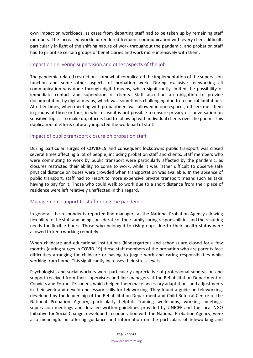own impact on workloads, as cases from departing staff had to be taken up by remaining staff members. The increased workload rendered frequent communication with every client difficult, particularly in light of the shifting nature of work throughout the pandemic, and probation staff had to prioritise certain groups of beneficiaries and work more intensively with them.

## <span id="page-26-0"></span>Impact on delivering supervision and other aspects of the job

The pandemic-related restrictions somewhat complicated the implementation of the supervision function and some other aspects of probation work. During exclusive teleworking all communication was done through digital means, which significantly limited the possibility of immediate contact and supervision of clients. Staff also had an obligation to provide documentation by digital means, which was sometimes challenging due to technical limitations. At other times, when meeting with probationers was allowed in open spaces, officers met them in groups of three or four, in which case it is not possible to ensure privacy of conversation on sensitive topics. To make up, officers had to follow up with individual clients over the phone. This duplication of efforts naturally impacted the workload of staff.

## <span id="page-26-1"></span>Impact of public transport closure on probation staff

During particular surges of COVID-19 and consequent lockdowns public transport was closed several times affecting a lot of people, including probation staff and clients. Staff members who were commuting to work by public transport were particularly affected by the pandemic, as closures restricted their ability to come to work, while it was rather difficult to observe safe physical distance on buses were crowded when transportation was available. In the absence of public transport, staff had to resort to more expensive private transport means such as taxis having to pay for it. Those who could walk to work due to a short distance from their place of residence were left relatively unaffected in this regard.

## <span id="page-26-2"></span>Management support to staff during the pandemic

In general, the respondents reported line managers at the National Probation Agency allowing flexibility to the staff and being considerate of their family caring responsibilities and the resulting needs for flexible hours. Those who belonged to risk groups due to their health status were allowed to keep working remotely.

When childcare and educational institutions (kindergartens and schools) are closed for a few months (during surges in COVID-19) those staff members of the probation who are parents face difficulties arranging for childcare or having to juggle work and caring responsibilities while working from home. This significantly increases their stress levels.

Psychologists and social workers were particularly appreciative of professional supervision and support received from their supervisors and line managers at the Rehabilitation Department of Convicts and Former Prisoners, which helped them make necessary adaptations and adjustments in their work and develop necessary skills for teleworking. They found a guide on teleworking, developed by the leadership of the Rehabilitation Department and Child Referral Centre of the National Probation Agency, particularly helpful. Training workshops, working meetings, supervision meetings and detailed written guidelines provided by UNICEF and the local NGO Initiative for Social Change, developed in cooperation with the National Probation Agency, were also meaningful in offering guidance and information on the particulars of teleworking and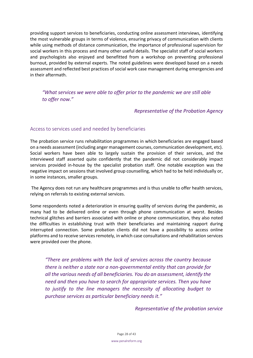providing support services to beneficiaries, conducting online assessment interviews, identifying the most vulnerable groups in terms of violence, ensuring privacy of communication with clients while using methods of distance communication, the importance of professional supervision for social workers in this process and many other useful details. The specialist staff of social workers and psychologists also enjoyed and benefitted from a workshop on preventing professional burnout, provided by external experts. The noted guidelines were developed based on a needs assessment and reflected best practices of social work case management during emergencies and in their aftermath.

*"What services we were able to offer prior to the pandemic we are still able to offer now."*

#### *Representative of the Probation Agency*

#### <span id="page-27-0"></span>Access to services used and needed by beneficiaries

The probation service runs rehabilitation programmes in which beneficiaries are engaged based on a needs assessment (including anger management courses, communication development, etc). Social workers have been able to largely sustain the provision of their services, and the interviewed staff asserted quite confidently that the pandemic did not considerably impact services provided in-house by the specialist probation staff. One notable exception was the negative impact on sessions that involved group counselling, which had to be held individually or, in some instances, smaller groups.

The Agency does not run any healthcare programmes and is thus unable to offer health services, relying on referrals to existing external services.

Some respondents noted a deterioration in ensuring quality of services during the pandemic, as many had to be delivered online or even through phone communication at worst. Besides technical glitches and barriers associated with online or phone communication, they also noted the difficulties in establishing trust with their beneficiaries and maintaining rapport during interrupted connection. Some probation clients did not have a possibility to access online platforms and to receive services remotely, in which case consultations and rehabilitation services were provided over the phone.

*"There are problems with the lack of services across the country because there is neither a state nor a non-governmental entity that can provide for all the various needs of all beneficiaries. You do an assessment, identify the need and then you have to search for appropriate services. Then you have to justify to the line managers the necessity of allocating budget to purchase services as particular beneficiary needs it."*

*Representative of the probation service*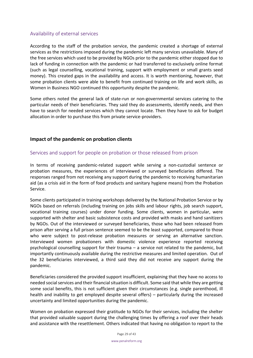## <span id="page-28-0"></span>Availability of external services

According to the staff of the probation service, the pandemic created a shortage of external services as the restrictions imposed during the pandemic left many services unavailable. Many of the free services which used to be provided by NGOs prior to the pandemic either stopped due to lack of funding in connection with the pandemic or had transferred to exclusively online format (such as legal counselling, vocational training, support with employment or small grants seed money). This created gaps in the availability and access. It is worth mentioning, however, that some probation clients were able to benefit from continued training on life and work skills, as Women in Business NGO continued this opportunity despite the pandemic.

Some others noted the general lack of state-run or non-governmental services catering to the particular needs of their beneficiaries. They said they do assessments, identify needs, and then have to search for needed services which they cannot locate. Then they have to ask for budget allocation in order to purchase this from private service-providers.

## <span id="page-28-1"></span>**Impact of the pandemic on probation clients**

## <span id="page-28-2"></span>Services and support for people on probation or those released from prison

In terms of receiving pandemic-related support while serving a non-custodial sentence or probation measures, the experiences of interviewed or surveyed beneficiaries differed. The responses ranged from not receiving any support during the pandemic to receiving humanitarian aid (as a crisis aid in the form of food products and sanitary hygiene means) from the Probation Service.

Some clients participated in training workshops delivered by the National Probation Service or by NGOs based on referrals (including training on jobs skills and labour rights, job search support, vocational training courses) under donor funding. Some clients, women in particular, were supported with shelter and basic subsistence costs and provided with masks and hand sanitizers by NGOs. Out of the interviewed or surveyed beneficiaries, those who had been released from prison after serving a full prison sentence seemed to be the least supported, compared to those who were subject to post-release probation measures or serving an alternative sanction. Interviewed women probationers with domestic violence experience reported receiving psychological counselling support for their trauma – a service not related to the pandemic, but importantly continuously available during the restrictive measures and limited operation. Out of the 32 beneficiaries interviewed, a third said they did not receive any support during the pandemic.

Beneficiaries considered the provided support insufficient, explaining that they have no access to needed social services and their financial situation is difficult. Some said that while they are getting some social benefits, this is not sufficient given their circumstances (e.g. single parenthood, ill health and inability to get employed despite several offers) – particularly during the increased uncertainty and limited opportunities during the pandemic.

Women on probation expressed their gratitude to NGOs for their services, including the shelter that provided valuable support during the challenging times by offering a roof over their heads and assistance with the resettlement. Others indicated that having no obligation to report to the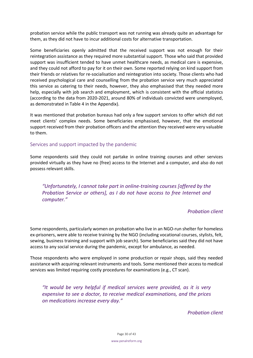probation service while the public transport was not running was already quite an advantage for them, as they did not have to incur additional costs for alternative transportation.

Some beneficiaries openly admitted that the received support was not enough for their reintegration assistance as they required more substantial support. Those who said that provided support was insufficient tended to have unmet healthcare needs, as medical care is expensive, and they could not afford to pay for it on their own. Some reported relying on kind support from their friends or relatives for re-socialisation and reintegration into society. Those clients who had received psychological care and counselling from the probation service very much appreciated this service as catering to their needs, however, they also emphasised that they needed more help, especially with job search and employment, which is consistent with the official statistics (according to the data from 2020-2021, around 80% of individuals convicted were unemployed, as demonstrated in Table 4 in the Appendix).

It was mentioned that probation bureaus had only a few support services to offer which did not meet clients' complex needs. Some beneficiaries emphasised, however, that the emotional support received from their probation officers and the attention they received were very valuable to them.

#### <span id="page-29-0"></span>Services and support impacted by the pandemic

Some respondents said they could not partake in online training courses and other services provided virtually as they have no (free) access to the Internet and a computer, and also do not possess relevant skills.

*"Unfortunately, I cannot take part in online-training courses [offered by the Probation Service or others], as I do not have access to free Internet and computer."* 

#### *Probation client*

Some respondents, particularly women on probation who live in an NGO-run shelter for homeless ex-prisoners, were able to receive training by the NGO (including vocational courses, stylists, felt, sewing, business training and support with job search). Some beneficiaries said they did not have access to any social service during the pandemic, except for ambulance, as needed.

Those respondents who were employed in some production or repair shops, said they needed assistance with acquiring relevant instruments and tools. Some mentioned their access to medical services was limited requiring costly procedures for examinations (e.g., CT scan).

*"It would be very helpful if medical services were provided, as it is very expensive to see a doctor, to receive medical examinations, and the prices on medications increase every day."*

*Probation client*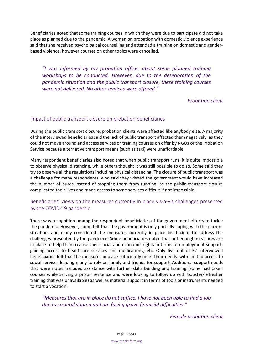Beneficiaries noted that some training courses in which they were due to participate did not take place as planned due to the pandemic. A woman on probation with domestic violence experience said that she received psychological counselling and attended a training on domestic and genderbased violence, however courses on other topics were cancelled.

*"I was informed by my probation officer about some planned training workshops to be conducted. However, due to the deterioration of the pandemic situation and the public transport closure, these training courses were not delivered. No other services were offered."*

## *Probation client*

#### <span id="page-30-0"></span>Impact of public transport closure on probation beneficiaries

During the public transport closure, probation clients were affected like anybody else. A majority of the interviewed beneficiaries said the lack of public transport affected them negatively, as they could not move around and access services or training courses on offer by NGOs or the Probation Service because alternative transport means (such as taxi) were unaffordable.

Many respondent beneficiaries also noted that when public transport runs, it is quite impossible to observe physical distancing, while others thought it was still possible to do so. Some said they try to observe all the regulations including physical distancing. The closure of public transport was a challenge for many respondents, who said they wished the government would have increased the number of buses instead of stopping them from running, as the public transport closure complicated their lives and made access to some services difficult if not impossible.

## <span id="page-30-1"></span>Beneficiaries' views on the measures currently in place vis-a-vis challenges presented by the COVID-19 pandemic

There was recognition among the respondent beneficiaries of the government efforts to tackle the pandemic. However, some felt that the government is only partially coping with the current situation, and many considered the measures currently in place insufficient to address the challenges presented by the pandemic. Some beneficiaries noted that not enough measures are in place to help them realise their social and economic rights in terms of employment support, gaining access to healthcare services and medications, etc. Only five out of 32 interviewed beneficiaries felt that the measures in place sufficiently meet their needs, with limited access to social services leading many to rely on family and friends for support. Additional support needs that were noted included assistance with further skills building and training (some had taken courses while serving a prison sentence and were looking to follow up with booster/refresher training that was unavailable) as well as material support in terms of tools or instruments needed to start a vocation.

*"Measures that are in place do not suffice. I have not been able to find a job due to societal stigma and am facing grave financial difficulties."*

*Female probation client*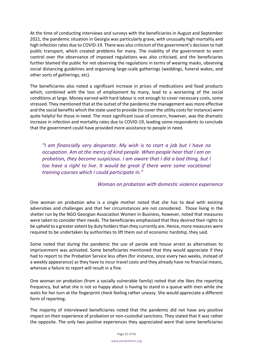At the time of conducting interviews and surveys with the beneficiaries in August and September 2021, the pandemic situation in Georgia was particularly grave, with unusually high mortality and high infection rates due to COVID-19. There was also criticism of the government's decision to halt public transport, which created problems for many. The inability of the government to exert control over the observance of imposed regulations was also criticised, and the beneficiaries further blamed the public for not observing the regulations in terms of wearing masks, observing social distancing guidelines and organising large-scale gatherings (weddings, funeral wakes, and other sorts of gatherings, etc).

The beneficiaries also noted a significant increase in prices of medications and food products which, combined with the loss of employment by many, lead to a worsening of the social conditions at large. Money earned with hard labour is not enough to cover necessary costs, some stressed. They mentioned that at the outset of the pandemic the management was more effective and the social benefits which the state used to provide (to cover the utility costs for instance) were quite helpful for those in need. The most significant issue of concern, however, was the dramatic increase in infection and mortality rates due to COVID-19, leading some respondents to conclude that the government could have provided more assistance to people in need.

*"I am financially very desperate. My wish is to start a job but I have no occupation. Am at the mercy of kind people. When people hear that I am on probation, they become suspicious. I am aware that I did a bad thing, but I too have a right to live. It would be great if there were some vocational training courses which I could participate in."* 

## *Woman on probation with domestic violence experience*

One woman on probation who is a single mother noted that she has to deal with existing adversities and challenges and that her circumstances are not considered. Those living in the shelter run by the NGO Georgian Association Women in Business, however, noted that measures were taken to consider their needs. The beneficiaries emphasized that they desired their rights to be upheld to a greater extent by duty holders than they currently are. Hence, more measures were required to be undertaken by authorities to lift them out of economic hardship, they said.

Some noted that during the pandemic the use of parole and house arrest as alternatives to imprisonment was activated. Some beneficiaries mentioned that they would appreciate if they had to report to the Probation Service less often (for instance, once every two weeks, instead of a weekly appearance) as they have to incur travel costs and they already have no financial means, whereas a failure to report will result in a fine.

One woman on probation (from a socially vulnerable family) noted that she likes the reporting frequency, but what she is not so happy about is having to stand in a queue with men while she waits for her turn at the fingerprint check feeling rather uneasy. She would appreciate a different form of reporting.

The majority of interviewed beneficiaries noted that the pandemic did not have any positive impact on their experience of probation or non-custodial sanctions. They stated that it was rather the opposite. The only two positive experiences they appreciated were that some beneficiaries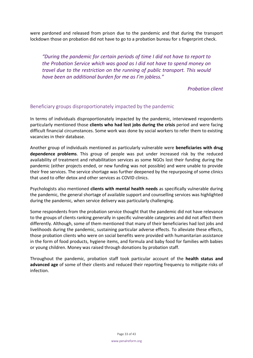were pardoned and released from prison due to the pandemic and that during the transport lockdown those on probation did not have to go to a probation bureau for s fingerprint check.

*"During the pandemic for certain periods of time I did not have to report to the Probation Service which was good as I did not have to spend money on travel due to the restriction on the running of public transport. This would have been an additional burden for me as I'm jobless."*

*Probation client*

## <span id="page-32-0"></span>Beneficiary groups disproportionately impacted by the pandemic

In terms of individuals disproportionately impacted by the pandemic, interviewed respondents particularly mentioned those **clients who had lost jobs during the crisis** period and were facing difficult financial circumstances. Some work was done by social workers to refer them to existing vacancies in their database.

Another group of individuals mentioned as particularly vulnerable were **beneficiaries with drug dependence problems**. This group of people was put under increased risk by the reduced availability of treatment and rehabilitation services as some NGOs lost their funding during the pandemic (either projects ended, or new funding was not possible) and were unable to provide their free services. The service shortage was further deepened by the repurposing of some clinics that used to offer detox and other services as COVID clinics.

Psychologists also mentioned **clients with mental health needs** as specifically vulnerable during the pandemic, the general shortage of available support and counselling services was highlighted during the pandemic, when service delivery was particularly challenging.

Some respondents from the probation service thought that the pandemic did not have relevance to the groups of clients ranking generally in specific vulnerable categories and did not affect them differently. Although, some of them mentioned that many of their beneficiaries had lost jobs and livelihoods during the pandemic, sustaining particular adverse effects. To alleviate these effects, those probation clients who were on social benefits were provided with humanitarian assistance in the form of food products, hygiene items, and formula and baby food for families with babies or young children. Money was raised through donations by probation staff.

Throughout the pandemic, probation staff took particular account of the **health status and advanced age** of some of their clients and reduced their reporting frequency to mitigate risks of infection.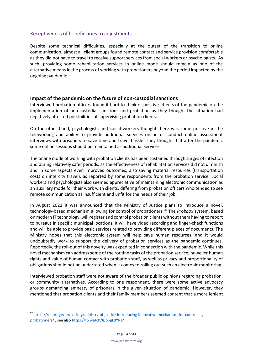## <span id="page-33-0"></span>Receptiveness of beneficiaries to adjustments

Despite some technical difficulties, especially at the outset of the transition to online communication, almost all client groups found remote contact and service provision comfortable as they did not have to travel to receive support services from social workers or psychologists. As such, providing some rehabilitation services in online mode should remain as one of the alternative means in the process of working with probationers beyond the period impacted by the ongoing pandemic.

#### <span id="page-33-1"></span>**Impact of the pandemic on the future of non-custodial sanctions**

Interviewed probation officers found it hard to think of positive effects of the pandemic on the implementation of non-custodial sanctions and probation as they thought the situation had negatively affected possibilities of supervising probation clients.

On the other hand, psychologists and social workers thought there was some positive in the teleworking and ability to provide additional services online or conduct online assessment interviews with prisoners to save time and travel hassle. They thought that after the pandemic some online sessions should be maintained as additional services.

The online mode of working with probation clients has been sustained through surges of infection and during relatively safer periods, as the effectiveness of rehabilitation services did not diminish and in some aspects even improved outcomes, also saving material resources (transportation costs on intercity travel), as reported by some respondents from the probation service. Social workers and psychologists also seemed appreciative of maintaining electronic communication as an auxiliary mode for their work with clients, differing from probation officers who tended to see remote communication as insufficient and unfit for the needs of their job.

In August 2021 it was announced that the Ministry of Justice plans to introduce a novel, technology-based mechanism allowing for control of probationers.<sup>20</sup> The *Probbox* system, based on modern IT technology, will register and control probation clients without them having to report to bureaus in specific municipal locations. It will have video recording and finger-check functions and will be able to provide basic services related to providing different pieces of documents. The Ministry hopes that this electronic system will help save human resources, and it would undoubtedly work to support the delivery of probation services as the pandemic continues. Reportedly, the roll-out of this novelty was expedited in connection with the pandemic. While this novel mechanism can address some of the routine tasks of the probation service, however human rights and value of human contact with probation staff, as well as privacy and proportionality of obligations should not be underrated when it comes to rolling out such an electronic monitoring.

Interviewed probation staff were not aware of the broader public opinions regarding probation, or community alternatives. According to one respondent, there were some active advocacy groups demanding amnesty of prisoners in the given situation of pandemic. However, they mentioned that probation clients and their family members seemed content that a more lenient

<sup>20</sup>[https://report.ge/en/society/ministry-of-justice-introducing-innovative-mechanism-for-controlling](https://report.ge/en/society/ministry-of-justice-introducing-innovative-mechanism-for-controlling-probationers/)[probationers/](https://report.ge/en/society/ministry-of-justice-introducing-innovative-mechanism-for-controlling-probationers/) , see also<https://fb.watch/8JobgLdYRa/>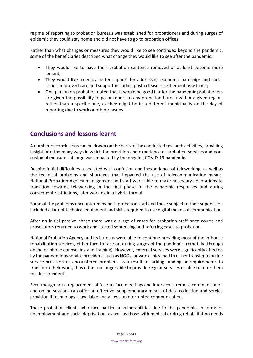regime of reporting to probation bureaus was established for probationers and during surges of epidemic they could stay home and did not have to go to probation offices.

Rather than what changes or measures they would like to see continued beyond the pandemic, some of the beneficiaries described what change they would like to see after the pandemic:

- They would like to have their probation sentence removed or at least become more lenient;
- They would like to enjoy better support for addressing economic hardships and social issues, improved care and support including post-release resettlement assistance;
- One person on probation noted that it would be good if after the pandemic probationers are given the possibility to go or report to any probation bureau within a given region, rather than a specific one, as they might be in a different municipality on the day of reporting due to work or other reasons.

## <span id="page-34-0"></span>**Conclusions and lessons learnt**

A number of conclusions can be drawn on the basis of the conducted research activities, providing insight into the many ways in which the provision and experience of probation services and noncustodial measures at large was impacted by the ongoing COVID-19 pandemic.

Despite initial difficulties associated with confusion and inexperience of teleworking, as well as the technical problems and shortages that impacted the use of telecommunication means, National Probation Agency management and staff were able to make necessary adaptations to transition towards teleworking in the first phase of the pandemic responses and during consequent restrictions, later working in a hybrid format.

Some of the problems encountered by both probation staff and those subject to their supervision included a lack of technical equipment and skills required to use digital means of communication.

After an initial passive phase there was a surge of cases for probation staff once courts and prosecutors returned to work and started sentencing and referring cases to probation.

National Probation Agency and its bureaus were able to continue providing most of the in-house rehabilitation services, either face-to-face or, during surges of the pandemic, remotely (through online or phone counselling and training). However, external services were significantly affected by the pandemic as service providers (such as NGOs, private clinics) had to either transfer to online service-provision or encountered problems as a result of lacking funding or requirements to transform their work, thus either no longer able to provide regular services or able to offer them to a lesser extent.

Even though not a replacement of face-to-face meetings and interviews, remote communication and online sessions can offer an effective, supplementary means of data collection and service provision if technology is available and allows uninterrupted communication.

Those probation clients who face particular vulnerabilities due to the pandemic, in terms of unemployment and social deprivation, as well as those with medical or drug rehabilitation needs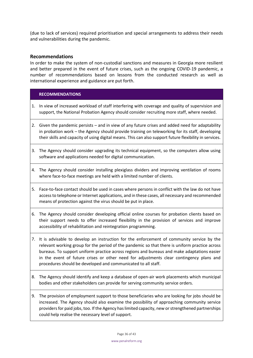(due to lack of services) required prioritisation and special arrangements to address their needs and vulnerabilities during the pandemic.

#### <span id="page-35-0"></span>**Recommendations**

In order to make the system of non-custodial sanctions and measures in Georgia more resilient and better prepared in the event of future crises, such as the ongoing COVID-19 pandemic, a number of recommendations based on lessons from the conducted research as well as international experience and guidance are put forth.

#### **RECOMMENDATIONS**

- 1. In view of increased workload of staff interfering with coverage and quality of supervision and support, the National Probation Agency should consider recruiting more staff, where needed.
- 2. Given the pandemic persists and in view of any future crises and added need for adaptability in probation work – the Agency should provide training on teleworking for its staff, developing their skills and capacity of using digital means. This can also support future flexibility in services.
- 3. The Agency should consider upgrading its technical equipment, so the computers allow using software and applications needed for digital communication.
- 4. The Agency should consider installing plexiglass dividers and improving ventilation of rooms where face-to-face meetings are held with a limited number of clients.
- 5. Face-to-face contact should be used in cases where persons in conflict with the law do not have access to telephone or Internet applications, and in these cases, all necessary and recommended means of protection against the virus should be put in place.
- 6. The Agency should consider developing official online courses for probation clients based on their support needs to offer increased flexibility in the provision of services and improve accessibility of rehabilitation and reintegration programming.
- 7. It is advisable to develop an instruction for the enforcement of community service by the relevant working group for the period of the pandemic so that there is uniform practice across bureaus. To support uniform practice across regions and bureaus and make adaptations easier in the event of future crises or other need for adjustments clear contingency plans and procedures should be developed and communicated to all staff.
- 8. The Agency should identify and keep a database of open-air work placements which municipal bodies and other stakeholders can provide for serving community service orders.
- 9. The provision of employment support to those beneficiaries who are looking for jobs should be increased. The Agency should also examine the possibility of approaching community service providers for paid jobs, too. If the Agency has limited capacity, new or strengthened partnerships could help realise the necessary level of support.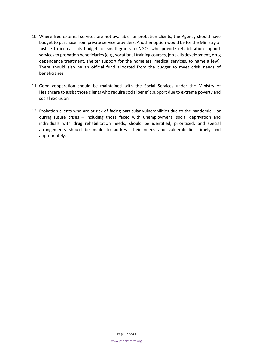- 10. Where free external services are not available for probation clients, the Agency should have budget to purchase from private service providers. Another option would be for the Ministry of Justice to increase its budget for small grants to NGOs who provide rehabilitation support services to probation beneficiaries (e.g., vocational training courses, job skills development, drug dependence treatment, shelter support for the homeless, medical services, to name a few). There should also be an official fund allocated from the budget to meet crisis needs of beneficiaries.
- 11. Good cooperation should be maintained with the Social Services under the Ministry of Healthcare to assist those clients who require social benefit support due to extreme poverty and social exclusion.
- 12. Probation clients who are at risk of facing particular vulnerabilities due to the pandemic or during future crises – including those faced with unemployment, social deprivation and individuals with drug rehabilitation needs, should be identified, prioritised, and special arrangements should be made to address their needs and vulnerabilities timely and appropriately.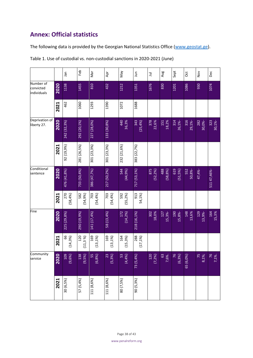## <span id="page-37-0"></span>**Annex: Official statistics**

The following data is provided by the Georgian National Statistics Office [\(www.geostat.ge\)](http://www.geostat.ge/).

|                                       |                              | Jan                | Feb                | Nar                | Apr                | Vie                | Jun                | $\equiv$           | Aug                 | Sept               | <b>Oct</b>    | $\frac{8}{2}$ | Dec          |
|---------------------------------------|------------------------------|--------------------|--------------------|--------------------|--------------------|--------------------|--------------------|--------------------|---------------------|--------------------|---------------|---------------|--------------|
| Number of<br>convicted<br>individuals | 2020                         | 1138               | 1455               | 810                | 432                | 1212               | 1351               | 1676               | 830                 | 1201               | 1086          | 930           | 1074         |
|                                       | 2021                         | 462                | 1060               | 1293               | 1390               | 1072               | 1688               |                    |                     |                    |               |               |              |
| Deprivation of<br>liberty 27.         | 2020                         | 242 (32,3%)        | 292 (20,1%)        | 227 (28,0%)        | 133 (30,8%)        | 440<br>36,3%       | 343<br>$(25, 4\%)$ | 378<br>22,6%       | <b>151</b><br>18,2% | 314<br>26,1%       | 316<br>29,1%- | 282<br>30,0%- | 30,1%        |
|                                       | 2021                         | 92 (19,9%)         | 281 (26,5%)        | 301 (23,3%)        | 301 (23,3%)        | 232 (21,6%)        | 383 (22,7%)        |                    |                     |                    |               |               |              |
| Conditional<br>sentence               | 2020                         | 476 (41,8%)        | 733 (50,4%)        | 386 (47,7%)        | 217 (50,2%)        | 544<br>(44,9%)     | 717 (53,1%)        | 875<br>$(52, 2\%)$ | 488<br>$(58, 8\%)$  | 619<br>$(51, 5\%)$ | 552<br>50,8%- | 47,4%-        | 51147,46%-   |
|                                       | 2021                         | 270<br>$(58, 4\%)$ | 582<br>$(54, 9\%)$ | 703<br>$(54, 4\%)$ | 703<br>$(54, 4\%)$ | 592<br>$(55, 2\%)$ | 913<br>54,1%)      |                    |                     |                    |               |               |              |
| Fine                                  | 2020                         | 225 (29,8%)        | 290 (19,9%)        | 141 (17,4%)        | 58 (13,4%)         | 172<br>$(14, 2\%)$ | 218 (16,1%)        | 302<br>18,0%       | 127<br>15,3%        | 190<br>15,8%-      | 148<br>13,6%  | 129<br>13,9%- | 164<br>15,3% |
|                                       | 2021                         | 99<br>$(14, 3\%)$  | 120<br>$(11, 3\%)$ | 169<br>$(13, 1\%)$ | 169<br>$(13, 1\%)$ | 164<br>$(15, 3\%)$ | 288<br>$(17, 1\%)$ |                    |                     |                    |               |               |              |
| Community<br>service                  | $\overline{a}$<br><b>202</b> | 109<br>(9,6%)      | 138<br>(9,5%)      | 55<br>(6,8%)       | $(5,3\%)$          | 53<br>(4,4%)       | 73 (5,4%)          | 120<br>(7,2%)      | 63<br>7,6%.         | 76<br>(6,3%)       | 65 (6,0%)     | 75<br>8,1%;   | 7,1%.        |
|                                       | 2021                         | 30 (6,5%)          | 57 (5,4%)          | 111 (8,6%)         | 111 (8,6%)         | 80 (7,5%)          | 90 (5,3%)          |                    |                     |                    |               |               |              |

Table 1. Use of custodial vs. non-custodial sanctions in 2020-2021 (June)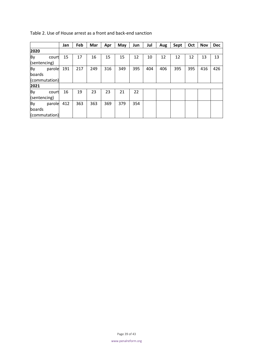|                               |        | Jan | Feb | Mar | Apr | May | Jun | Jul | Aug | Sept | Oct | <b>Nov</b> | <b>Dec</b> |
|-------------------------------|--------|-----|-----|-----|-----|-----|-----|-----|-----|------|-----|------------|------------|
| 2020                          |        |     |     |     |     |     |     |     |     |      |     |            |            |
| By<br>(sentencing)            | court  | 15  | 17  | 16  | 15  | 15  | 12  | 10  | 12  | 12   | 12  | 13         | 13         |
| By<br>boards<br>(commutation) | parole | 191 | 217 | 249 | 316 | 349 | 395 | 404 | 406 | 395  | 395 | 416        | 426        |
| 2021                          |        |     |     |     |     |     |     |     |     |      |     |            |            |
| By<br>(sentencing)            | court  | 16  | 19  | 23  | 23  | 21  | 22  |     |     |      |     |            |            |
| By<br>boards<br>(commutation) | parole | 412 | 363 | 363 | 369 | 379 | 354 |     |     |      |     |            |            |

Table 2. Use of House arrest as a front and back-end sanction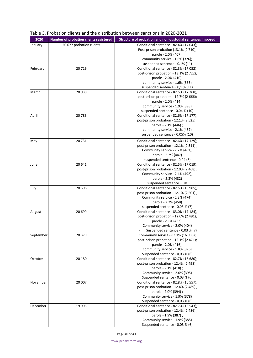| 2020      | Number of probation clients registered | Structure of probation and non-custodial sentences imposed                |
|-----------|----------------------------------------|---------------------------------------------------------------------------|
| January   | 20 677 probation clients               | Conditional sentence - 82.4% (17 043);                                    |
|           |                                        | Post-prison probation (13.1% (2710);                                      |
|           |                                        | parole - 2.0% (407);                                                      |
|           |                                        | community service - 1.6% (326);                                           |
|           |                                        | suspended sentence - 0.1% (11)                                            |
| February  | 20719                                  | Conditional sentence - 82.3% (17 052);                                    |
|           |                                        | post-prison probation - 13.1% (2722);                                     |
|           |                                        | parole - 2.0% (410);                                                      |
|           |                                        | community service - 1.6% (336)                                            |
|           |                                        | suspended sentence $-0.1$ % (11)                                          |
| March     | 20 938                                 | Conditional sentence - 82.5% (17 268);                                    |
|           |                                        | post-prison probation - 12.7% (2 666);                                    |
|           |                                        | parole - 2.0% (414);                                                      |
|           |                                        | community service - 1.9% (393)                                            |
|           |                                        | suspended sentence - 0,04 % (10)                                          |
| April     | 20783                                  | Conditional sentence - 82.6% (17 177);                                    |
|           |                                        | post-prison probation - 12.1% (2 525);                                    |
|           |                                        | parole - 2.1% (446);                                                      |
|           |                                        | community service - 2.1% (437)                                            |
|           |                                        | suspended sentence - 0,05% (10)                                           |
| May       | 20731                                  | Conditional sentence - 82.6% (17 129);                                    |
|           |                                        | post-prison probation - 12.1% (2 511);                                    |
|           |                                        | Community service - 2.2% (461);                                           |
|           |                                        | parole - 2.2% (447)                                                       |
|           |                                        | suspended sentence - 0,04 (8)                                             |
| June      | 20 641                                 | Conditional sentence - 82.5% (17 019);                                    |
|           |                                        | post-prison probation - 12.0% (2 468);                                    |
|           |                                        | Community service - 2.4% (492);                                           |
|           |                                        | parole - 2.3% (482)                                                       |
|           |                                        | suspended sentence - 0%                                                   |
| July      | 20 5 96                                | Conditional sentence - 82.5% (16 985);                                    |
|           |                                        | post-prison probation - 12.1% (2 501);<br>Community service - 2.3% (474); |
|           |                                        | parole - 2.2% (458)                                                       |
|           |                                        | suspended sentence - 0,03 % (7)                                           |
| August    | 20 699                                 | Conditional sentence - 83.0% (17 184),                                    |
|           |                                        | post-prison probation - 12.0% (2 491);                                    |
|           |                                        | parole - 2.1% (433);                                                      |
|           |                                        | Community service - 2.0% (404)                                            |
|           |                                        | Suspended sentence - 0,03 % (7)                                           |
| September | 20 379                                 | Community service - 83.1% (16 935);                                       |
|           |                                        | post-prison probation - 12.1% (2 471);                                    |
|           |                                        | parole - 2.0% (416);                                                      |
|           |                                        | community service - 1.8% (376)                                            |
|           |                                        | Suspended sentence - 0,03 % (6)                                           |
| October   | 20 180                                 | Conditional sentence - 82.7% (16 680);                                    |
|           |                                        | post-prison probation - 12.4% (2 498);                                    |
|           |                                        | parole - 2.1% (418);                                                      |
|           |                                        | Community service - 2.0% (395)                                            |
|           |                                        | Suspended sentence - 0,03 % (6)                                           |
| November  | 20 007                                 | Conditional sentence - 82.8% (16 557);                                    |
|           |                                        | post-prison probation - 12.4% (2 489);                                    |
|           |                                        | parole - 2.0% (394) ;                                                     |
|           |                                        | Community service - 1.9% (378)                                            |
|           |                                        | Suspended sentence - 0,03 % (6)                                           |
| December  | 19 995                                 | Conditional sentence - 82.7% (16 543);                                    |
|           |                                        | post-prison probation - 12.4% (2 486);<br>parole - 1.9% (387);            |
|           |                                        | Community service - 1.9% (385)                                            |
|           |                                        | Suspended sentence - 0,03 % (6)                                           |
|           |                                        |                                                                           |

#### Table 3. Probation clients and the distribution between sanctions in 2020-2021

Page 40 of 43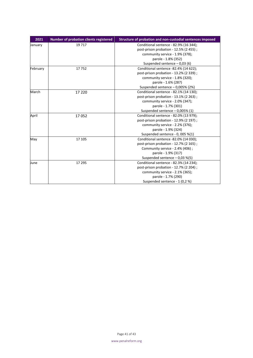| 2021     | Number of probation clients registered | Structure of probation and non-custodial sentences imposed |
|----------|----------------------------------------|------------------------------------------------------------|
| January  | 19 7 17                                | Conditional sentence - 82.9% (16 344);                     |
|          |                                        | post-prison probation - 12.5% (2 455);                     |
|          |                                        | community service - 1.9% (378);                            |
|          |                                        | parole - 1.8% (352)                                        |
|          |                                        | Suspended sentence $-0.03(6)$                              |
| February | 17752                                  | Conditional sentence -82.4% (14 622);                      |
|          |                                        | post-prison probation - 13.2% (2 339);                     |
|          |                                        | community service - 1.8% (320);                            |
|          |                                        | parole - 1.6% (287)                                        |
|          |                                        | Suspended sentence - 0,005% (2%)                           |
| March    | 17 2 20                                | Conditional sentence - 82.1% (14 130);                     |
|          |                                        | post-prison probation - 13.1% (2 263);                     |
|          |                                        | community service - 2.0% (347);                            |
|          |                                        | parole - 1.7% (301)                                        |
|          |                                        | Suspended sentence $-0.005\%$ (1)                          |
| April    | 17052                                  | Conditional sentence - 82.0% (13 979);                     |
|          |                                        | post-prison probation - 12.9% (2 197);                     |
|          |                                        | community service - 2.2% (376);                            |
|          |                                        | parole - 1.9% (324)                                        |
|          |                                        | Suspended sentence - 0, 005 %(1)                           |
| May      | 17 105                                 | Conditional sentence -82.0% (14 030);                      |
|          |                                        | post-prison probation - 12.7% (2 165);                     |
|          |                                        | Community service - 2.4% (406);                            |
|          |                                        | parole - 1.9% (317)                                        |
|          |                                        | Suspended sentence $-0.03$ %(5)                            |
| June     | 17 295                                 | Conditional sentence - 82.3% (14 234);                     |
|          |                                        | post-prison probation - 12.7% (2 204);                     |
|          |                                        | community service - 2.1% (365);                            |
|          |                                        | parole - 1.7% (290)                                        |
|          |                                        | Suspended sentence - 1 (0,2 %)                             |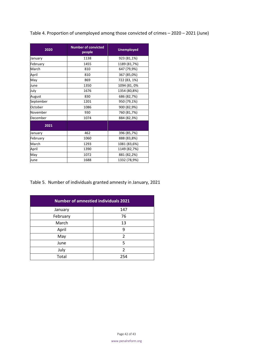Table 4. Proportion of unemployed among those convicted of crimes – 2020 – 2021 (June)

| 2020      | <b>Number of convicted</b><br>people | <b>Unemployed</b> |  |  |  |
|-----------|--------------------------------------|-------------------|--|--|--|
| January   | 1138                                 | 923 (81,1%)       |  |  |  |
| February  | 1455                                 | 1189 (81,7%)      |  |  |  |
| March     | 810                                  | 647 (79,9%)       |  |  |  |
| April     | 810                                  | 367 (85,0%)       |  |  |  |
| May       | 869                                  | 722 (83, 1%)      |  |  |  |
| June      | 1350                                 | 1094 (81, 0%      |  |  |  |
| July      | 1676                                 | 1354 (80,8%)      |  |  |  |
| August    | 830                                  | 686 (82,7%)       |  |  |  |
| September | 1201                                 | 950 (79,1%)       |  |  |  |
| October   | 1086                                 | 900 (82,9%)       |  |  |  |
| November  | 930                                  | 760 (81,7%)       |  |  |  |
| December  | 1074                                 | 884 (82,3%)       |  |  |  |
| 2021      |                                      |                   |  |  |  |
| January   | 462                                  | 396 (85,7%)       |  |  |  |
| February  | 1060                                 | 888 (83,8%)       |  |  |  |
| March     | 1293                                 | 1081 (83,6%)      |  |  |  |
| April     | 1390                                 | 1149 (82,7%)      |  |  |  |
| May       | 1072                                 | 881 (82,2%)       |  |  |  |
| June      | 1688                                 | 1332 (78,9%)      |  |  |  |

Table 5. Number of individuals granted amnesty in January, 2021

| <b>Number of amnestied individuals 2021</b> |                |  |  |  |  |  |  |  |
|---------------------------------------------|----------------|--|--|--|--|--|--|--|
| January                                     | 147            |  |  |  |  |  |  |  |
| February                                    | 76             |  |  |  |  |  |  |  |
| March                                       | 13             |  |  |  |  |  |  |  |
| April                                       | 9              |  |  |  |  |  |  |  |
| May                                         | 2              |  |  |  |  |  |  |  |
| June                                        | 5              |  |  |  |  |  |  |  |
| July                                        | $\mathfrak{p}$ |  |  |  |  |  |  |  |
| Total                                       | 254            |  |  |  |  |  |  |  |